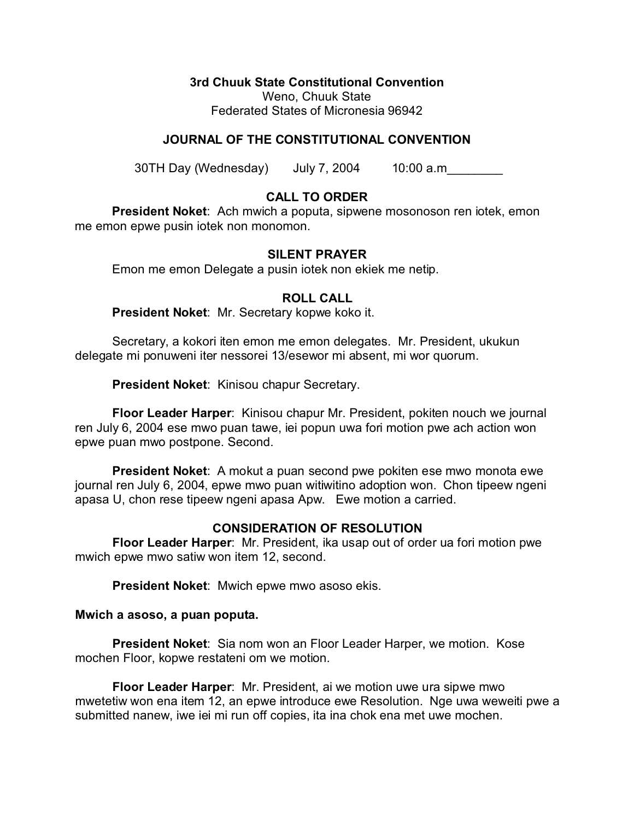#### **3rd Chuuk State Constitutional Convention**

Weno, Chuuk State Federated States of Micronesia 96942

## **JOURNAL OF THE CONSTITUTIONAL CONVENTION**

30TH Day (Wednesday) July 7, 2004 10:00 a.m\_\_\_\_\_\_\_\_

## **CALL TO ORDER**

**President Noket**: Ach mwich a poputa, sipwene mosonoson ren iotek, emon me emon epwe pusin iotek non monomon.

#### **SILENT PRAYER**

Emon me emon Delegate a pusin iotek non ekiek me netip.

### **ROLL CALL**

**President Noket**: Mr. Secretary kopwe koko it.

Secretary, a kokori iten emon me emon delegates. Mr. President, ukukun delegate mi ponuweni iter nessorei 13/esewor mi absent, mi wor quorum.

**President Noket**: Kinisou chapur Secretary.

**Floor Leader Harper**: Kinisou chapur Mr. President, pokiten nouch we journal ren July 6, 2004 ese mwo puan tawe, iei popun uwa fori motion pwe ach action won epwe puan mwo postpone. Second.

**President Noket**: A mokut a puan second pwe pokiten ese mwo monota ewe journal ren July 6, 2004, epwe mwo puan witiwitino adoption won. Chon tipeew ngeni apasa U, chon rese tipeew ngeni apasa Apw. Ewe motion a carried.

#### **CONSIDERATION OF RESOLUTION**

**Floor Leader Harper**: Mr. President, ika usap out of order ua fori motion pwe mwich epwe mwo satiw won item 12, second.

**President Noket**: Mwich epwe mwo asoso ekis.

#### **Mwich a asoso, a puan poputa.**

**President Noket**: Sia nom won an Floor Leader Harper, we motion. Kose mochen Floor, kopwe restateni om we motion.

**Floor Leader Harper**: Mr. President, ai we motion uwe ura sipwe mwo mwetetiw won ena item 12, an epwe introduce ewe Resolution. Nge uwa weweiti pwe a submitted nanew, iwe iei mi run off copies, ita ina chok ena met uwe mochen.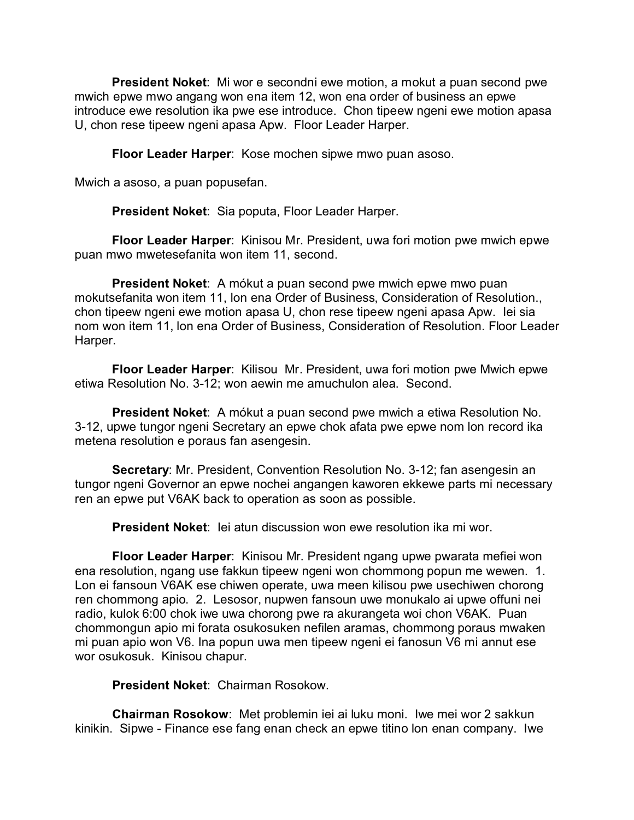**President Noket**: Mi wor e secondni ewe motion, a mokut a puan second pwe mwich epwe mwo angang won ena item 12, won ena order of business an epwe introduce ewe resolution ika pwe ese introduce. Chon tipeew ngeni ewe motion apasa U, chon rese tipeew ngeni apasa Apw. Floor Leader Harper.

**Floor Leader Harper**: Kose mochen sipwe mwo puan asoso.

Mwich a asoso, a puan popusefan.

**President Noket**: Sia poputa, Floor Leader Harper.

**Floor Leader Harper**: Kinisou Mr. President, uwa fori motion pwe mwich epwe puan mwo mwetesefanita won item 11, second.

**President Noket**: A mókut a puan second pwe mwich epwe mwo puan mokutsefanita won item 11, lon ena Order of Business, Consideration of Resolution., chon tipeew ngeni ewe motion apasa U, chon rese tipeew ngeni apasa Apw. Iei sia nom won item 11, lon ena Order of Business, Consideration of Resolution. Floor Leader Harper.

**Floor Leader Harper**: Kilisou Mr. President, uwa fori motion pwe Mwich epwe etiwa Resolution No. 3-12; won aewin me amuchulon alea. Second.

**President Noket**: A mókut a puan second pwe mwich a etiwa Resolution No. 3-12, upwe tungor ngeni Secretary an epwe chok afata pwe epwe nom lon record ika metena resolution e poraus fan asengesin.

**Secretary**: Mr. President, Convention Resolution No. 3-12; fan asengesin an tungor ngeni Governor an epwe nochei angangen kaworen ekkewe parts mi necessary ren an epwe put V6AK back to operation as soon as possible.

**President Noket**: Iei atun discussion won ewe resolution ika mi wor.

**Floor Leader Harper**: Kinisou Mr. President ngang upwe pwarata mefiei won ena resolution, ngang use fakkun tipeew ngeni won chommong popun me wewen. 1. Lon ei fansoun V6AK ese chiwen operate, uwa meen kilisou pwe usechiwen chorong ren chommong apio. 2. Lesosor, nupwen fansoun uwe monukalo ai upwe offuni nei radio, kulok 6:00 chok iwe uwa chorong pwe ra akurangeta woi chon V6AK. Puan chommongun apio mi forata osukosuken nefilen aramas, chommong poraus mwaken mi puan apio won V6. Ina popun uwa men tipeew ngeni ei fanosun V6 mi annut ese wor osukosuk. Kinisou chapur.

**President Noket**: Chairman Rosokow.

**Chairman Rosokow**: Met problemin iei ai luku moni. Iwe mei wor 2 sakkun kinikin. Sipwe - Finance ese fang enan check an epwe titino lon enan company. Iwe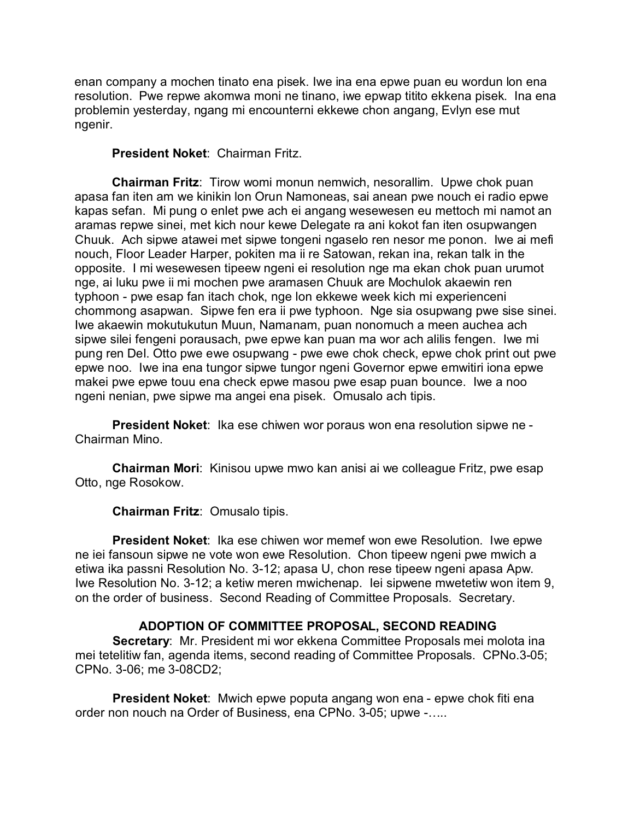enan company a mochen tinato ena pisek. Iwe ina ena epwe puan eu wordun lon ena resolution. Pwe repwe akomwa moni ne tinano, iwe epwap titito ekkena pisek. Ina ena problemin yesterday, ngang mi encounterni ekkewe chon angang, Evlyn ese mut ngenir.

# **President Noket**: Chairman Fritz.

**Chairman Fritz**: Tirow womi monun nemwich, nesorallim. Upwe chok puan apasa fan iten am we kinikin lon Orun Namoneas, sai anean pwe nouch ei radio epwe kapas sefan. Mi pung o enlet pwe ach ei angang wesewesen eu mettoch mi namot an aramas repwe sinei, met kich nour kewe Delegate ra ani kokot fan iten osupwangen Chuuk. Ach sipwe atawei met sipwe tongeni ngaselo ren nesor me ponon. Iwe ai mefi nouch, Floor Leader Harper, pokiten ma ii re Satowan, rekan ina, rekan talk in the opposite. I mi wesewesen tipeew ngeni ei resolution nge ma ekan chok puan urumot nge, ai luku pwe ii mi mochen pwe aramasen Chuuk are Mochulok akaewin ren typhoon - pwe esap fan itach chok, nge lon ekkewe week kich mi experienceni chommong asapwan. Sipwe fen era ii pwe typhoon. Nge sia osupwang pwe sise sinei. Iwe akaewin mokutukutun Muun, Namanam, puan nonomuch a meen auchea ach sipwe silei fengeni porausach, pwe epwe kan puan ma wor ach alilis fengen. Iwe mi pung ren Del. Otto pwe ewe osupwang - pwe ewe chok check, epwe chok print out pwe epwe noo. Iwe ina ena tungor sipwe tungor ngeni Governor epwe emwitiri iona epwe makei pwe epwe touu ena check epwe masou pwe esap puan bounce. Iwe a noo ngeni nenian, pwe sipwe ma angei ena pisek. Omusalo ach tipis.

**President Noket**: Ika ese chiwen wor poraus won ena resolution sipwe ne - Chairman Mino.

**Chairman Mori**: Kinisou upwe mwo kan anisi ai we colleague Fritz, pwe esap Otto, nge Rosokow.

**Chairman Fritz**: Omusalo tipis.

**President Noket**: Ika ese chiwen wor memef won ewe Resolution. Iwe epwe ne iei fansoun sipwe ne vote won ewe Resolution. Chon tipeew ngeni pwe mwich a etiwa ika passni Resolution No. 3-12; apasa U, chon rese tipeew ngeni apasa Apw. Iwe Resolution No. 3-12; a ketiw meren mwichenap. Iei sipwene mwetetiw won item 9, on the order of business. Second Reading of Committee Proposals. Secretary.

# **ADOPTION OF COMMITTEE PROPOSAL, SECOND READING**

**Secretary**: Mr. President mi wor ekkena Committee Proposals mei molota ina mei tetelitiw fan, agenda items, second reading of Committee Proposals. CPNo.3-05; CPNo. 3-06; me 3-08CD2;

**President Noket**: Mwich epwe poputa angang won ena - epwe chok fiti ena order non nouch na Order of Business, ena CPNo. 3-05; upwe -…..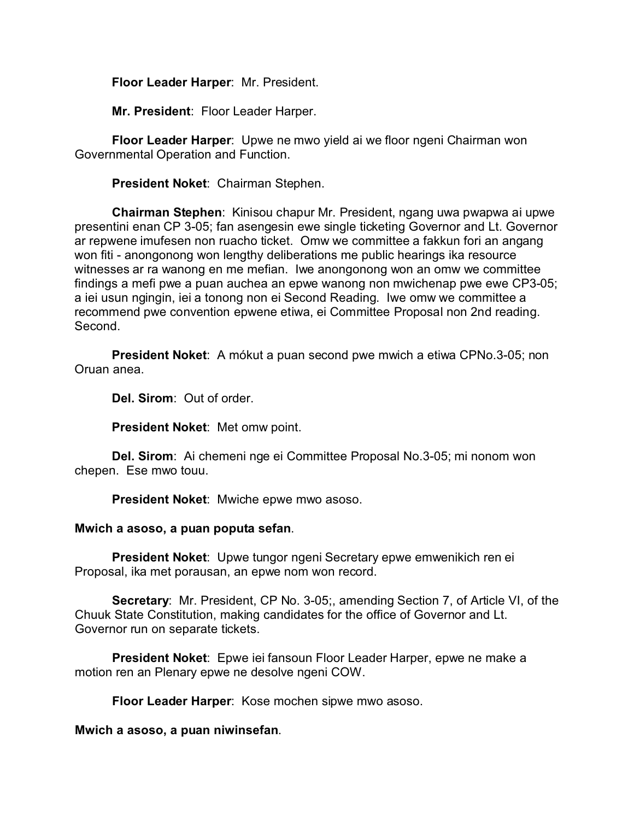# **Floor Leader Harper**: Mr. President.

**Mr. President**: Floor Leader Harper.

**Floor Leader Harper**: Upwe ne mwo yield ai we floor ngeni Chairman won Governmental Operation and Function.

**President Noket**: Chairman Stephen.

**Chairman Stephen**: Kinisou chapur Mr. President, ngang uwa pwapwa ai upwe presentini enan CP 3-05; fan asengesin ewe single ticketing Governor and Lt. Governor ar repwene imufesen non ruacho ticket. Omw we committee a fakkun fori an angang won fiti - anongonong won lengthy deliberations me public hearings ika resource witnesses ar ra wanong en me mefian. Iwe anongonong won an omw we committee findings a mefi pwe a puan auchea an epwe wanong non mwichenap pwe ewe CP3-05; a iei usun ngingin, iei a tonong non ei Second Reading. Iwe omw we committee a recommend pwe convention epwene etiwa, ei Committee Proposal non 2nd reading. Second.

**President Noket**: A mókut a puan second pwe mwich a etiwa CPNo.3-05; non Oruan anea.

**Del. Sirom**: Out of order.

**President Noket**: Met omw point.

**Del. Sirom**: Ai chemeni nge ei Committee Proposal No.3-05; mi nonom won chepen. Ese mwo touu.

**President Noket**: Mwiche epwe mwo asoso.

#### **Mwich a asoso, a puan poputa sefan**.

**President Noket**: Upwe tungor ngeni Secretary epwe emwenikich ren ei Proposal, ika met porausan, an epwe nom won record.

**Secretary**: Mr. President, CP No. 3-05;, amending Section 7, of Article VI, of the Chuuk State Constitution, making candidates for the office of Governor and Lt. Governor run on separate tickets.

**President Noket**: Epwe iei fansoun Floor Leader Harper, epwe ne make a motion ren an Plenary epwe ne desolve ngeni COW.

**Floor Leader Harper**: Kose mochen sipwe mwo asoso.

#### **Mwich a asoso, a puan niwinsefan**.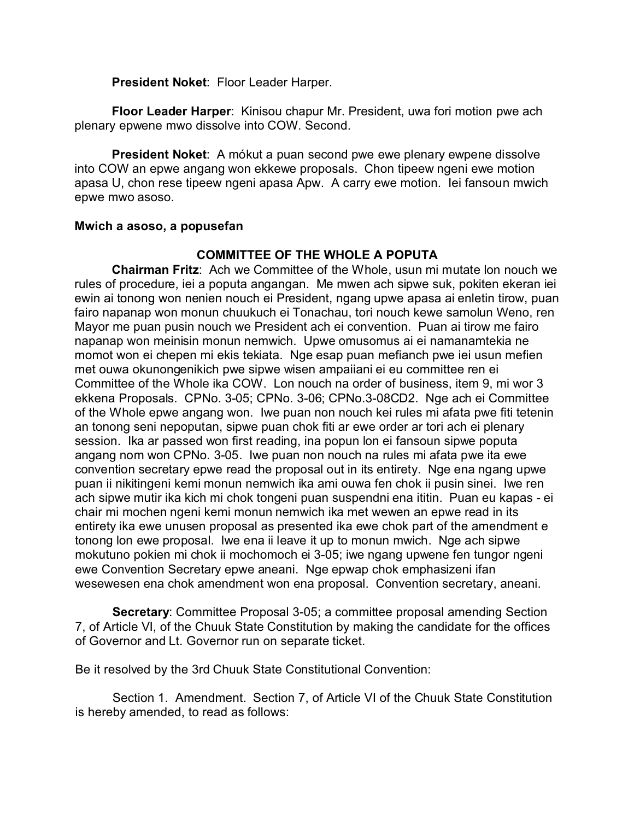**President Noket**: Floor Leader Harper.

**Floor Leader Harper**: Kinisou chapur Mr. President, uwa fori motion pwe ach plenary epwene mwo dissolve into COW. Second.

**President Noket**: A mókut a puan second pwe ewe plenary ewpene dissolve into COW an epwe angang won ekkewe proposals. Chon tipeew ngeni ewe motion apasa U, chon rese tipeew ngeni apasa Apw. A carry ewe motion. Iei fansoun mwich epwe mwo asoso.

## **Mwich a asoso, a popusefan**

# **COMMITTEE OF THE WHOLE A POPUTA**

**Chairman Fritz**: Ach we Committee of the Whole, usun mi mutate lon nouch we rules of procedure, iei a poputa angangan. Me mwen ach sipwe suk, pokiten ekeran iei ewin ai tonong won nenien nouch ei President, ngang upwe apasa ai enletin tirow, puan fairo napanap won monun chuukuch ei Tonachau, tori nouch kewe samolun Weno, ren Mayor me puan pusin nouch we President ach ei convention. Puan ai tirow me fairo napanap won meinisin monun nemwich. Upwe omusomus ai ei namanamtekia ne momot won ei chepen mi ekis tekiata. Nge esap puan mefianch pwe iei usun mefien met ouwa okunongenikich pwe sipwe wisen ampaiiani ei eu committee ren ei Committee of the Whole ika COW. Lon nouch na order of business, item 9, mi wor 3 ekkena Proposals. CPNo. 3-05; CPNo. 3-06; CPNo.3-08CD2. Nge ach ei Committee of the Whole epwe angang won. Iwe puan non nouch kei rules mi afata pwe fiti tetenin an tonong seni nepoputan, sipwe puan chok fiti ar ewe order ar tori ach ei plenary session. Ika ar passed won first reading, ina popun lon ei fansoun sipwe poputa angang nom won CPNo. 3-05. Iwe puan non nouch na rules mi afata pwe ita ewe convention secretary epwe read the proposal out in its entirety. Nge ena ngang upwe puan ii nikitingeni kemi monun nemwich ika ami ouwa fen chok ii pusin sinei. Iwe ren ach sipwe mutir ika kich mi chok tongeni puan suspendni ena ititin. Puan eu kapas - ei chair mi mochen ngeni kemi monun nemwich ika met wewen an epwe read in its entirety ika ewe unusen proposal as presented ika ewe chok part of the amendment e tonong lon ewe proposal. Iwe ena ii leave it up to monun mwich. Nge ach sipwe mokutuno pokien mi chok ii mochomoch ei 3-05; iwe ngang upwene fen tungor ngeni ewe Convention Secretary epwe aneani. Nge epwap chok emphasizeni ifan wesewesen ena chok amendment won ena proposal. Convention secretary, aneani.

**Secretary:** Committee Proposal 3-05; a committee proposal amending Section 7, of Article VI, of the Chuuk State Constitution by making the candidate for the offices of Governor and Lt. Governor run on separate ticket.

Be it resolved by the 3rd Chuuk State Constitutional Convention:

Section 1. Amendment. Section 7, of Article VI of the Chuuk State Constitution is hereby amended, to read as follows: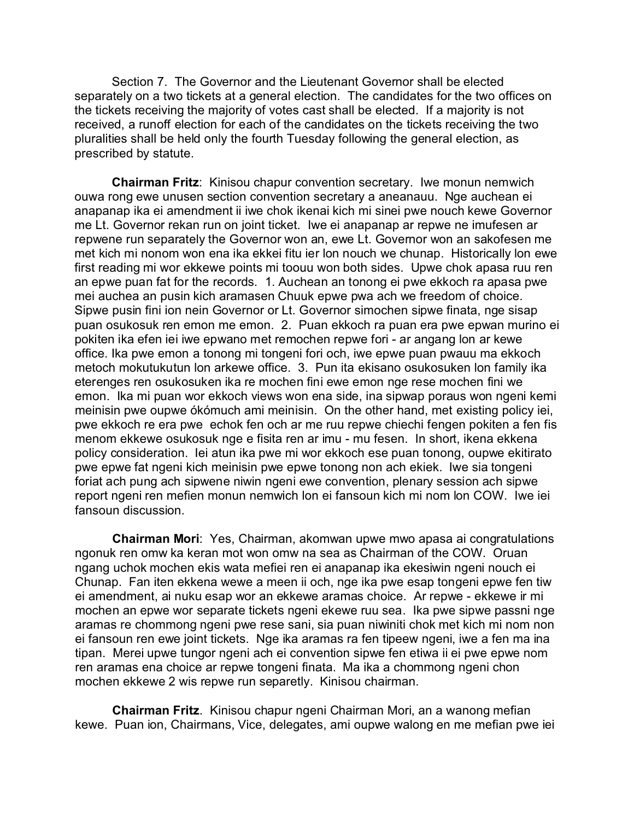Section 7. The Governor and the Lieutenant Governor shall be elected separately on a two tickets at a general election. The candidates for the two offices on the tickets receiving the majority of votes cast shall be elected. If a majority is not received, a runoff election for each of the candidates on the tickets receiving the two pluralities shall be held only the fourth Tuesday following the general election, as prescribed by statute.

**Chairman Fritz**: Kinisou chapur convention secretary. Iwe monun nemwich ouwa rong ewe unusen section convention secretary a aneanauu. Nge auchean ei anapanap ika ei amendment ii iwe chok ikenai kich mi sinei pwe nouch kewe Governor me Lt. Governor rekan run on joint ticket. Iwe ei anapanap ar repwe ne imufesen ar repwene run separately the Governor won an, ewe Lt. Governor won an sakofesen me met kich mi nonom won ena ika ekkei fitu ier lon nouch we chunap. Historically lon ewe first reading mi wor ekkewe points mi toouu won both sides. Upwe chok apasa ruu ren an epwe puan fat for the records. 1. Auchean an tonong ei pwe ekkoch ra apasa pwe mei auchea an pusin kich aramasen Chuuk epwe pwa ach we freedom of choice. Sipwe pusin fini ion nein Governor or Lt. Governor simochen sipwe finata, nge sisap puan osukosuk ren emon me emon. 2. Puan ekkoch ra puan era pwe epwan murino ei pokiten ika efen iei iwe epwano met remochen repwe fori - ar angang lon ar kewe office. Ika pwe emon a tonong mi tongeni fori och, iwe epwe puan pwauu ma ekkoch metoch mokutukutun lon arkewe office. 3. Pun ita ekisano osukosuken lon family ika eterenges ren osukosuken ika re mochen fini ewe emon nge rese mochen fini we emon. Ika mi puan wor ekkoch views won ena side, ina sipwap poraus won ngeni kemi meinisin pwe oupwe ókómuch ami meinisin. On the other hand, met existing policy iei, pwe ekkoch re era pwe echok fen och ar me ruu repwe chiechi fengen pokiten a fen fis menom ekkewe osukosuk nge e fisita ren ar imu - mu fesen. In short, ikena ekkena policy consideration. Iei atun ika pwe mi wor ekkoch ese puan tonong, oupwe ekitirato pwe epwe fat ngeni kich meinisin pwe epwe tonong non ach ekiek. Iwe sia tongeni foriat ach pung ach sipwene niwin ngeni ewe convention, plenary session ach sipwe report ngeni ren mefien monun nemwich lon ei fansoun kich mi nom lon COW. Iwe iei fansoun discussion.

**Chairman Mori**: Yes, Chairman, akomwan upwe mwo apasa ai congratulations ngonuk ren omw ka keran mot won omw na sea as Chairman of the COW. Oruan ngang uchok mochen ekis wata mefiei ren ei anapanap ika ekesiwin ngeni nouch ei Chunap. Fan iten ekkena wewe a meen ii och, nge ika pwe esap tongeni epwe fen tiw ei amendment, ai nuku esap wor an ekkewe aramas choice. Ar repwe - ekkewe ir mi mochen an epwe wor separate tickets ngeni ekewe ruu sea. Ika pwe sipwe passni nge aramas re chommong ngeni pwe rese sani, sia puan niwiniti chok met kich mi nom non ei fansoun ren ewe joint tickets. Nge ika aramas ra fen tipeew ngeni, iwe a fen ma ina tipan. Merei upwe tungor ngeni ach ei convention sipwe fen etiwa ii ei pwe epwe nom ren aramas ena choice ar repwe tongeni finata. Ma ika a chommong ngeni chon mochen ekkewe 2 wis repwe run separetly. Kinisou chairman.

**Chairman Fritz**. Kinisou chapur ngeni Chairman Mori, an a wanong mefian kewe. Puan ion, Chairmans, Vice, delegates, ami oupwe walong en me mefian pwe iei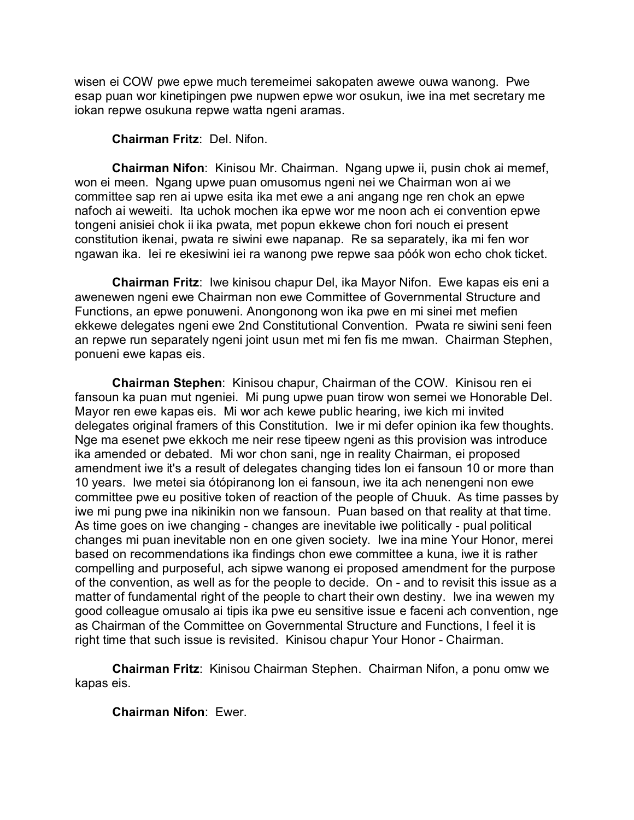wisen ei COW pwe epwe much teremeimei sakopaten awewe ouwa wanong. Pwe esap puan wor kinetipingen pwe nupwen epwe wor osukun, iwe ina met secretary me iokan repwe osukuna repwe watta ngeni aramas.

## **Chairman Fritz**: Del. Nifon.

**Chairman Nifon**: Kinisou Mr. Chairman. Ngang upwe ii, pusin chok ai memef, won ei meen. Ngang upwe puan omusomus ngeni nei we Chairman won ai we committee sap ren ai upwe esita ika met ewe a ani angang nge ren chok an epwe nafoch ai weweiti. Ita uchok mochen ika epwe wor me noon ach ei convention epwe tongeni anisiei chok ii ika pwata, met popun ekkewe chon fori nouch ei present constitution ikenai, pwata re siwini ewe napanap. Re sa separately, ika mi fen wor ngawan ika. Iei re ekesiwini iei ra wanong pwe repwe saa póók won echo chok ticket.

**Chairman Fritz**: Iwe kinisou chapur Del, ika Mayor Nifon. Ewe kapas eis eni a awenewen ngeni ewe Chairman non ewe Committee of Governmental Structure and Functions, an epwe ponuweni. Anongonong won ika pwe en mi sinei met mefien ekkewe delegates ngeni ewe 2nd Constitutional Convention. Pwata re siwini seni feen an repwe run separately ngeni joint usun met mi fen fis me mwan. Chairman Stephen, ponueni ewe kapas eis.

**Chairman Stephen**: Kinisou chapur, Chairman of the COW. Kinisou ren ei fansoun ka puan mut ngeniei. Mi pung upwe puan tirow won semei we Honorable Del. Mayor ren ewe kapas eis. Mi wor ach kewe public hearing, iwe kich mi invited delegates original framers of this Constitution. Iwe ir mi defer opinion ika few thoughts. Nge ma esenet pwe ekkoch me neir rese tipeew ngeni as this provision was introduce ika amended or debated. Mi wor chon sani, nge in reality Chairman, ei proposed amendment iwe it's a result of delegates changing tides lon ei fansoun 10 or more than 10 years. Iwe metei sia ótópiranong lon ei fansoun, iwe ita ach nenengeni non ewe committee pwe eu positive token of reaction of the people of Chuuk. As time passes by iwe mi pung pwe ina nikinikin non we fansoun. Puan based on that reality at that time. As time goes on iwe changing - changes are inevitable iwe politically - pual political changes mi puan inevitable non en one given society. Iwe ina mine Your Honor, merei based on recommendations ika findings chon ewe committee a kuna, iwe it is rather compelling and purposeful, ach sipwe wanong ei proposed amendment for the purpose of the convention, as well as for the people to decide. On - and to revisit this issue as a matter of fundamental right of the people to chart their own destiny. Iwe ina wewen my good colleague omusalo ai tipis ika pwe eu sensitive issue e faceni ach convention, nge as Chairman of the Committee on Governmental Structure and Functions, I feel it is right time that such issue is revisited. Kinisou chapur Your Honor - Chairman.

**Chairman Fritz**: Kinisou Chairman Stephen. Chairman Nifon, a ponu omw we kapas eis.

**Chairman Nifon**: Ewer.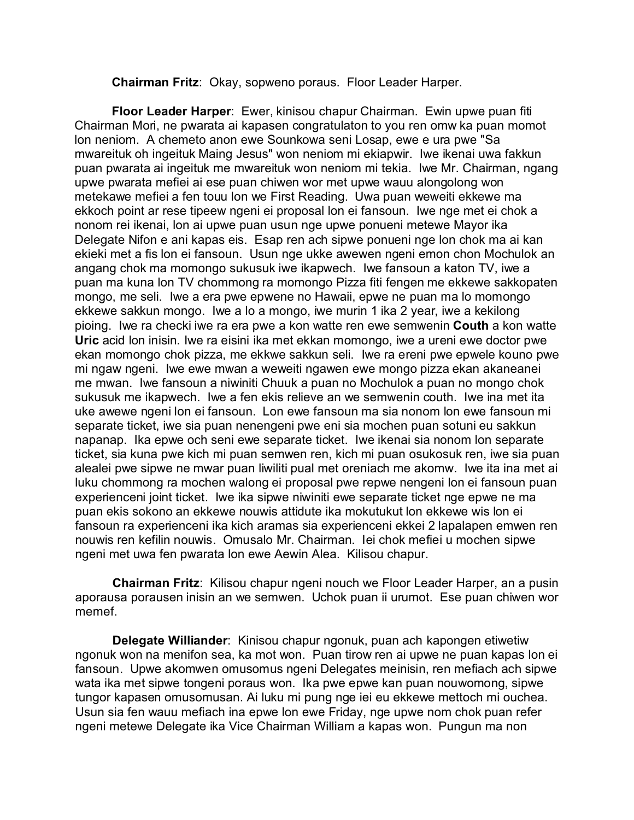**Chairman Fritz**: Okay, sopweno poraus. Floor Leader Harper.

**Floor Leader Harper**: Ewer, kinisou chapur Chairman. Ewin upwe puan fiti Chairman Mori, ne pwarata ai kapasen congratulaton to you ren omw ka puan momot lon neniom. A chemeto anon ewe Sounkowa seni Losap, ewe e ura pwe "Sa mwareituk oh ingeituk Maing Jesus" won neniom mi ekiapwir. Iwe ikenai uwa fakkun puan pwarata ai ingeituk me mwareituk won neniom mi tekia. Iwe Mr. Chairman, ngang upwe pwarata mefiei ai ese puan chiwen wor met upwe wauu alongolong won metekawe mefiei a fen touu lon we First Reading. Uwa puan weweiti ekkewe ma ekkoch point ar rese tipeew ngeni ei proposal lon ei fansoun. Iwe nge met ei chok a nonom rei ikenai, lon ai upwe puan usun nge upwe ponueni metewe Mayor ika Delegate Nifon e ani kapas eis. Esap ren ach sipwe ponueni nge lon chok ma ai kan ekieki met a fis lon ei fansoun. Usun nge ukke awewen ngeni emon chon Mochulok an angang chok ma momongo sukusuk iwe ikapwech. Iwe fansoun a katon TV, iwe a puan ma kuna lon TV chommong ra momongo Pizza fiti fengen me ekkewe sakkopaten mongo, me seli. Iwe a era pwe epwene no Hawaii, epwe ne puan ma lo momongo ekkewe sakkun mongo. Iwe a lo a mongo, iwe murin 1 ika 2 year, iwe a kekilong pioing. Iwe ra checki iwe ra era pwe a kon watte ren ewe semwenin **Couth** a kon watte **Uric** acid lon inisin. Iwe ra eisini ika met ekkan momongo, iwe a ureni ewe doctor pwe ekan momongo chok pizza, me ekkwe sakkun seli. Iwe ra ereni pwe epwele kouno pwe mi ngaw ngeni. Iwe ewe mwan a weweiti ngawen ewe mongo pizza ekan akaneanei me mwan. Iwe fansoun a niwiniti Chuuk a puan no Mochulok a puan no mongo chok sukusuk me ikapwech. Iwe a fen ekis relieve an we semwenin couth. Iwe ina met ita uke awewe ngeni lon ei fansoun. Lon ewe fansoun ma sia nonom lon ewe fansoun mi separate ticket, iwe sia puan nenengeni pwe eni sia mochen puan sotuni eu sakkun napanap. Ika epwe och seni ewe separate ticket. Iwe ikenai sia nonom lon separate ticket, sia kuna pwe kich mi puan semwen ren, kich mi puan osukosuk ren, iwe sia puan alealei pwe sipwe ne mwar puan liwiliti pual met oreniach me akomw. Iwe ita ina met ai luku chommong ra mochen walong ei proposal pwe repwe nengeni lon ei fansoun puan experienceni joint ticket. Iwe ika sipwe niwiniti ewe separate ticket nge epwe ne ma puan ekis sokono an ekkewe nouwis attidute ika mokutukut lon ekkewe wis lon ei fansoun ra experienceni ika kich aramas sia experienceni ekkei 2 lapalapen emwen ren nouwis ren kefilin nouwis. Omusalo Mr. Chairman. Iei chok mefiei u mochen sipwe ngeni met uwa fen pwarata lon ewe Aewin Alea. Kilisou chapur.

**Chairman Fritz**: Kilisou chapur ngeni nouch we Floor Leader Harper, an a pusin aporausa porausen inisin an we semwen. Uchok puan ii urumot. Ese puan chiwen wor memef.

**Delegate Williander**: Kinisou chapur ngonuk, puan ach kapongen etiwetiw ngonuk won na menifon sea, ka mot won. Puan tirow ren ai upwe ne puan kapas lon ei fansoun. Upwe akomwen omusomus ngeni Delegates meinisin, ren mefiach ach sipwe wata ika met sipwe tongeni poraus won. Ika pwe epwe kan puan nouwomong, sipwe tungor kapasen omusomusan. Ai luku mi pung nge iei eu ekkewe mettoch mi ouchea. Usun sia fen wauu mefiach ina epwe lon ewe Friday, nge upwe nom chok puan refer ngeni metewe Delegate ika Vice Chairman William a kapas won. Pungun ma non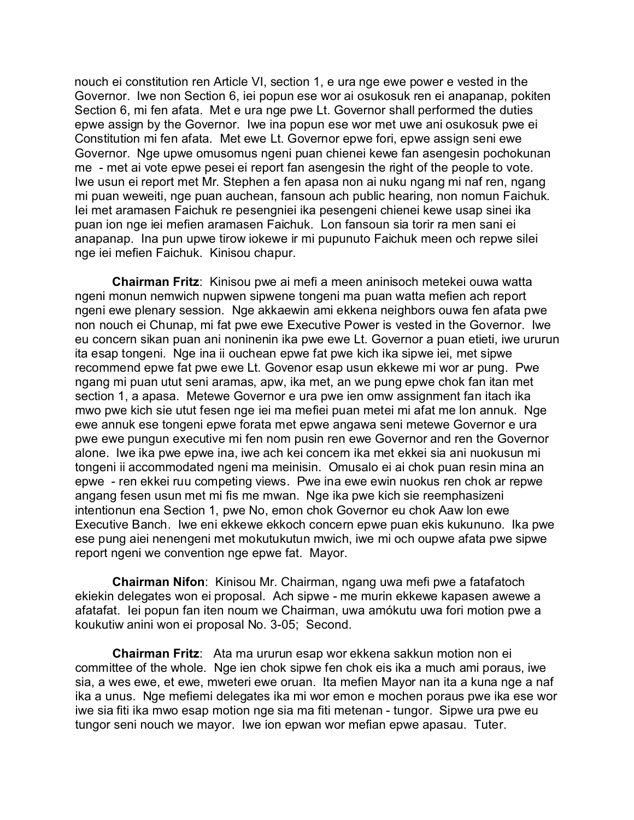nouch ei constitution ren Article VI, section 1, e ura nge ewe power e vested in the Governor. Iwe non Section 6, iei popun ese wor ai osukosuk ren ei anapanap, pokiten Section 6, mi fen afata. Met e ura nge pwe Lt. Governor shall performed the duties epwe assign by the Governor. Iwe ina popun ese wor met uwe ani osukosuk pwe ei Constitution mi fen afata. Met ewe Lt. Governor epwe fori, epwe assign seni ewe Governor. Nge upwe omusomus ngeni puan chienei kewe fan asengesin pochokunan me - met ai vote epwe pesei ei report fan asengesin the right of the people to vote. Iwe usun ei report met Mr. Stephen a fen apasa non ai nuku ngang mi naf ren, ngang mi puan weweiti, nge puan auchean, fansoun ach public hearing, non nomun Faichuk. Iei met aramasen Faichuk re pesengniei ika pesengeni chienei kewe usap sinei ika puan ion nge iei mefien aramasen Faichuk. Lon fansoun sia torir ra men sani ei anapanap. Ina pun upwe tirow iokewe ir mi pupunuto Faichuk meen och repwe silei nge iei mefien Faichuk. Kinisou chapur.

**Chairman Fritz**: Kinisou pwe ai mefi a meen aninisoch metekei ouwa watta ngeni monun nemwich nupwen sipwene tongeni ma puan watta mefien ach report ngeni ewe plenary session. Nge akkaewin ami ekkena neighbors ouwa fen afata pwe non nouch ei Chunap, mi fat pwe ewe Executive Power is vested in the Governor. Iwe eu concern sikan puan ani noninenin ika pwe ewe Lt. Governor a puan etieti, iwe ururun ita esap tongeni. Nge ina ii ouchean epwe fat pwe kich ika sipwe iei, met sipwe recommend epwe fat pwe ewe Lt. Govenor esap usun ekkewe mi wor ar pung. Pwe ngang mi puan utut seni aramas, apw, ika met, an we pung epwe chok fan itan met section 1, a apasa. Metewe Governor e ura pwe ien omw assignment fan itach ika mwo pwe kich sie utut fesen nge iei ma mefiei puan metei mi afat me lon annuk. Nge ewe annuk ese tongeni epwe forata met epwe angawa seni metewe Governor e ura pwe ewe pungun executive mi fen nom pusin ren ewe Governor and ren the Governor alone. Iwe ika pwe epwe ina, iwe ach kei concern ika met ekkei sia ani nuokusun mi tongeni ii accommodated ngeni ma meinisin. Omusalo ei ai chok puan resin mina an epwe - ren ekkei ruu competing views. Pwe ina ewe ewin nuokus ren chok ar repwe angang fesen usun met mi fis me mwan. Nge ika pwe kich sie reemphasizeni intentionun ena Section 1, pwe No, emon chok Governor eu chok Aaw lon ewe Executive Banch. Iwe eni ekkewe ekkoch concern epwe puan ekis kukununo. Ika pwe ese pung aiei nenengeni met mokutukutun mwich, iwe mi och oupwe afata pwe sipwe report ngeni we convention nge epwe fat. Mayor.

**Chairman Nifon**: Kinisou Mr. Chairman, ngang uwa mefi pwe a fatafatoch ekiekin delegates won ei proposal. Ach sipwe - me murin ekkewe kapasen awewe a afatafat. Iei popun fan iten noum we Chairman, uwa amókutu uwa fori motion pwe a koukutiw anini won ei proposal No. 3-05; Second.

**Chairman Fritz**: Ata ma ururun esap wor ekkena sakkun motion non ei committee of the whole. Nge ien chok sipwe fen chok eis ika a much ami poraus, iwe sia, a wes ewe, et ewe, mweteri ewe oruan. Ita mefien Mayor nan ita a kuna nge a naf ika a unus. Nge mefiemi delegates ika mi wor emon e mochen poraus pwe ika ese wor iwe sia fiti ika mwo esap motion nge sia ma fiti metenan - tungor. Sipwe ura pwe eu tungor seni nouch we mayor. Iwe ion epwan wor mefian epwe apasau. Tuter.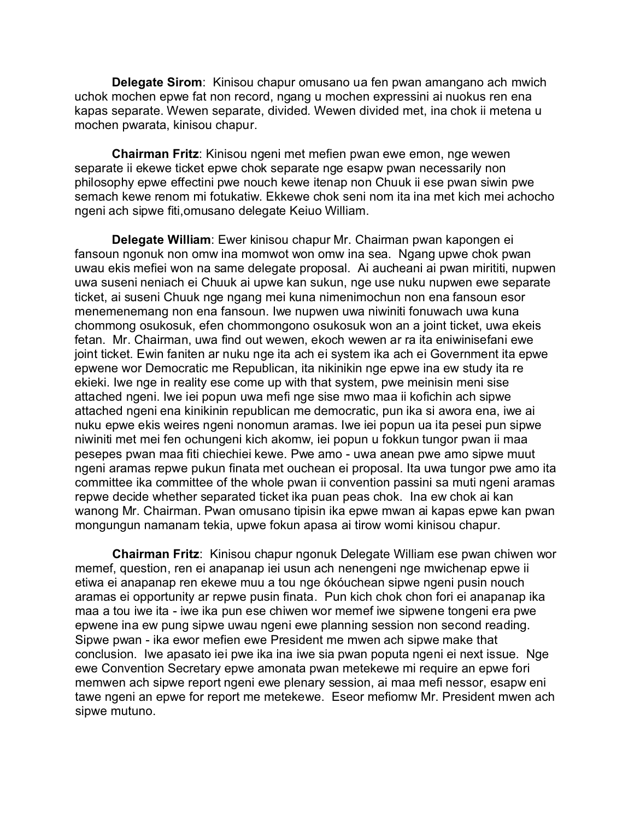**Delegate Sirom**: Kinisou chapur omusano ua fen pwan amangano ach mwich uchok mochen epwe fat non record, ngang u mochen expressini ai nuokus ren ena kapas separate. Wewen separate, divided. Wewen divided met, ina chok ii metena u mochen pwarata, kinisou chapur.

**Chairman Fritz**: Kinisou ngeni met mefien pwan ewe emon, nge wewen separate ii ekewe ticket epwe chok separate nge esapw pwan necessarily non philosophy epwe effectini pwe nouch kewe itenap non Chuuk ii ese pwan siwin pwe semach kewe renom mi fotukatiw. Ekkewe chok seni nom ita ina met kich mei achocho ngeni ach sipwe fiti,omusano delegate Keiuo William.

**Delegate William**: Ewer kinisou chapur Mr. Chairman pwan kapongen ei fansoun ngonuk non omw ina momwot won omw ina sea. Ngang upwe chok pwan uwau ekis mefiei won na same delegate proposal. Ai aucheani ai pwan mirititi, nupwen uwa suseni neniach ei Chuuk ai upwe kan sukun, nge use nuku nupwen ewe separate ticket, ai suseni Chuuk nge ngang mei kuna nimenimochun non ena fansoun esor menemenemang non ena fansoun. Iwe nupwen uwa niwiniti fonuwach uwa kuna chommong osukosuk, efen chommongono osukosuk won an a joint ticket, uwa ekeis fetan. Mr. Chairman, uwa find out wewen, ekoch wewen ar ra ita eniwinisefani ewe joint ticket. Ewin faniten ar nuku nge ita ach ei system ika ach ei Government ita epwe epwene wor Democratic me Republican, ita nikinikin nge epwe ina ew study ita re ekieki. Iwe nge in reality ese come up with that system, pwe meinisin meni sise attached ngeni. Iwe iei popun uwa mefi nge sise mwo maa ii kofichin ach sipwe attached ngeni ena kinikinin republican me democratic, pun ika si awora ena, iwe ai nuku epwe ekis weires ngeni nonomun aramas. Iwe iei popun ua ita pesei pun sipwe niwiniti met mei fen ochungeni kich akomw, iei popun u fokkun tungor pwan ii maa pesepes pwan maa fiti chiechiei kewe. Pwe amo - uwa anean pwe amo sipwe muut ngeni aramas repwe pukun finata met ouchean ei proposal. Ita uwa tungor pwe amo ita committee ika committee of the whole pwan ii convention passini sa muti ngeni aramas repwe decide whether separated ticket ika puan peas chok. Ina ew chok ai kan wanong Mr. Chairman. Pwan omusano tipisin ika epwe mwan ai kapas epwe kan pwan mongungun namanam tekia, upwe fokun apasa ai tirow womi kinisou chapur.

**Chairman Fritz**: Kinisou chapur ngonuk Delegate William ese pwan chiwen wor memef, question, ren ei anapanap iei usun ach nenengeni nge mwichenap epwe ii etiwa ei anapanap ren ekewe muu a tou nge ókóuchean sipwe ngeni pusin nouch aramas ei opportunity ar repwe pusin finata. Pun kich chok chon fori ei anapanap ika maa a tou iwe ita - iwe ika pun ese chiwen wor memef iwe sipwene tongeni era pwe epwene ina ew pung sipwe uwau ngeni ewe planning session non second reading. Sipwe pwan - ika ewor mefien ewe President me mwen ach sipwe make that conclusion. Iwe apasato iei pwe ika ina iwe sia pwan poputa ngeni ei next issue. Nge ewe Convention Secretary epwe amonata pwan metekewe mi require an epwe fori memwen ach sipwe report ngeni ewe plenary session, ai maa mefi nessor, esapw eni tawe ngeni an epwe for report me metekewe. Eseor mefiomw Mr. President mwen ach sipwe mutuno.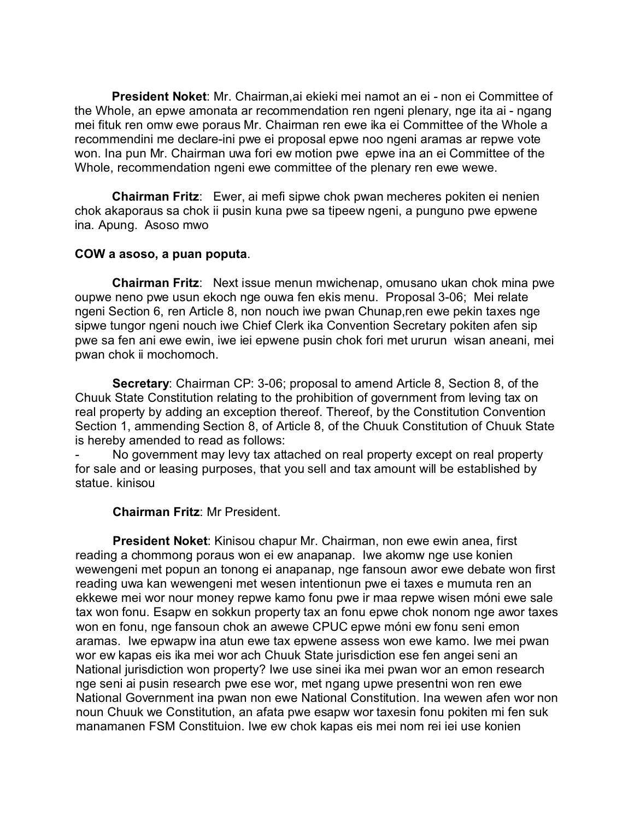**President Noket**: Mr. Chairman,ai ekieki mei namot an ei - non ei Committee of the Whole, an epwe amonata ar recommendation ren ngeni plenary, nge ita ai - ngang mei fituk ren omw ewe poraus Mr. Chairman ren ewe ika ei Committee of the Whole a recommendini me declare-ini pwe ei proposal epwe noo ngeni aramas ar repwe vote won. Ina pun Mr. Chairman uwa fori ew motion pwe epwe ina an ei Committee of the Whole, recommendation ngeni ewe committee of the plenary ren ewe wewe.

**Chairman Fritz**: Ewer, ai mefi sipwe chok pwan mecheres pokiten ei nenien chok akaporaus sa chok ii pusin kuna pwe sa tipeew ngeni, a punguno pwe epwene ina. Apung. Asoso mwo

#### **COW a asoso, a puan poputa**.

**Chairman Fritz**: Next issue menun mwichenap, omusano ukan chok mina pwe oupwe neno pwe usun ekoch nge ouwa fen ekis menu. Proposal 3-06; Mei relate ngeni Section 6, ren Article 8, non nouch iwe pwan Chunap,ren ewe pekin taxes nge sipwe tungor ngeni nouch iwe Chief Clerk ika Convention Secretary pokiten afen sip pwe sa fen ani ewe ewin, iwe iei epwene pusin chok fori met ururun wisan aneani, mei pwan chok ii mochomoch.

**Secretary**: Chairman CP: 3-06; proposal to amend Article 8, Section 8, of the Chuuk State Constitution relating to the prohibition of government from leving tax on real property by adding an exception thereof. Thereof, by the Constitution Convention Section 1, ammending Section 8, of Article 8, of the Chuuk Constitution of Chuuk State is hereby amended to read as follows:

No government may levy tax attached on real property except on real property for sale and or leasing purposes, that you sell and tax amount will be established by statue. kinisou

# **Chairman Fritz**: Mr President.

**President Noket**: Kinisou chapur Mr. Chairman, non ewe ewin anea, first reading a chommong poraus won ei ew anapanap. Iwe akomw nge use konien wewengeni met popun an tonong ei anapanap, nge fansoun awor ewe debate won first reading uwa kan wewengeni met wesen intentionun pwe ei taxes e mumuta ren an ekkewe mei wor nour money repwe kamo fonu pwe ir maa repwe wisen móni ewe sale tax won fonu. Esapw en sokkun property tax an fonu epwe chok nonom nge awor taxes won en fonu, nge fansoun chok an awewe CPUC epwe móni ew fonu seni emon aramas. Iwe epwapw ina atun ewe tax epwene assess won ewe kamo. Iwe mei pwan wor ew kapas eis ika mei wor ach Chuuk State jurisdiction ese fen angei seni an National jurisdiction won property? Iwe use sinei ika mei pwan wor an emon research nge seni ai pusin research pwe ese wor, met ngang upwe presentni won ren ewe National Government ina pwan non ewe National Constitution. Ina wewen afen wor non noun Chuuk we Constitution, an afata pwe esapw wor taxesin fonu pokiten mi fen suk manamanen FSM Constituion. Iwe ew chok kapas eis mei nom rei iei use konien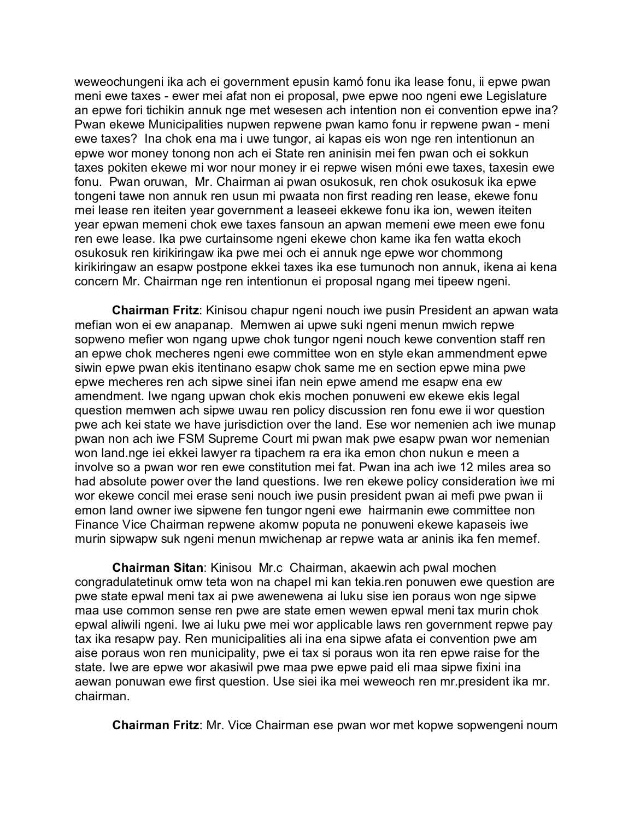weweochungeni ika ach ei government epusin kamó fonu ika lease fonu, ii epwe pwan meni ewe taxes - ewer mei afat non ei proposal, pwe epwe noo ngeni ewe Legislature an epwe fori tichikin annuk nge met wesesen ach intention non ei convention epwe ina? Pwan ekewe Municipalities nupwen repwene pwan kamo fonu ir repwene pwan - meni ewe taxes? Ina chok ena ma i uwe tungor, ai kapas eis won nge ren intentionun an epwe wor money tonong non ach ei State ren aninisin mei fen pwan och ei sokkun taxes pokiten ekewe mi wor nour money ir ei repwe wisen móni ewe taxes, taxesin ewe fonu. Pwan oruwan, Mr. Chairman ai pwan osukosuk, ren chok osukosuk ika epwe tongeni tawe non annuk ren usun mi pwaata non first reading ren lease, ekewe fonu mei lease ren iteiten year government a leaseei ekkewe fonu ika ion, wewen iteiten year epwan memeni chok ewe taxes fansoun an apwan memeni ewe meen ewe fonu ren ewe lease. Ika pwe curtainsome ngeni ekewe chon kame ika fen watta ekoch osukosuk ren kirikiringaw ika pwe mei och ei annuk nge epwe wor chommong kirikiringaw an esapw postpone ekkei taxes ika ese tumunoch non annuk, ikena ai kena concern Mr. Chairman nge ren intentionun ei proposal ngang mei tipeew ngeni.

**Chairman Fritz**: Kinisou chapur ngeni nouch iwe pusin President an apwan wata mefian won ei ew anapanap. Memwen ai upwe suki ngeni menun mwich repwe sopweno mefier won ngang upwe chok tungor ngeni nouch kewe convention staff ren an epwe chok mecheres ngeni ewe committee won en style ekan ammendment epwe siwin epwe pwan ekis itentinano esapw chok same me en section epwe mina pwe epwe mecheres ren ach sipwe sinei ifan nein epwe amend me esapw ena ew amendment. Iwe ngang upwan chok ekis mochen ponuweni ew ekewe ekis legal question memwen ach sipwe uwau ren policy discussion ren fonu ewe ii wor question pwe ach kei state we have jurisdiction over the land. Ese wor nemenien ach iwe munap pwan non ach iwe FSM Supreme Court mi pwan mak pwe esapw pwan wor nemenian won land.nge iei ekkei lawyer ra tipachem ra era ika emon chon nukun e meen a involve so a pwan wor ren ewe constitution mei fat. Pwan ina ach iwe 12 miles area so had absolute power over the land questions. Iwe ren ekewe policy consideration iwe mi wor ekewe concil mei erase seni nouch iwe pusin president pwan ai mefi pwe pwan ii emon land owner iwe sipwene fen tungor ngeni ewe hairmanin ewe committee non Finance Vice Chairman repwene akomw poputa ne ponuweni ekewe kapaseis iwe murin sipwapw suk ngeni menun mwichenap ar repwe wata ar aninis ika fen memef.

**Chairman Sitan**: Kinisou Mr.c Chairman, akaewin ach pwal mochen congradulatetinuk omw teta won na chapel mi kan tekia.ren ponuwen ewe question are pwe state epwal meni tax ai pwe awenewena ai luku sise ien poraus won nge sipwe maa use common sense ren pwe are state emen wewen epwal meni tax murin chok epwal aliwili ngeni. Iwe ai luku pwe mei wor applicable laws ren government repwe pay tax ika resapw pay. Ren municipalities ali ina ena sipwe afata ei convention pwe am aise poraus won ren municipality, pwe ei tax si poraus won ita ren epwe raise for the state. Iwe are epwe wor akasiwil pwe maa pwe epwe paid eli maa sipwe fixini ina aewan ponuwan ewe first question. Use siei ika mei weweoch ren mr.president ika mr. chairman.

**Chairman Fritz**: Mr. Vice Chairman ese pwan wor met kopwe sopwengeni noum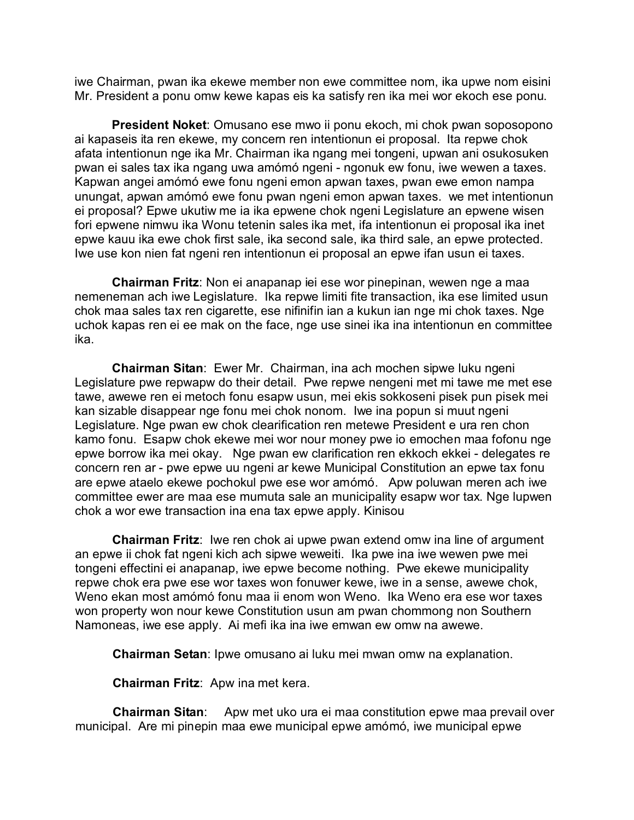iwe Chairman, pwan ika ekewe member non ewe committee nom, ika upwe nom eisini Mr. President a ponu omw kewe kapas eis ka satisfy ren ika mei wor ekoch ese ponu.

**President Noket**: Omusano ese mwo ii ponu ekoch, mi chok pwan soposopono ai kapaseis ita ren ekewe, my concern ren intentionun ei proposal. Ita repwe chok afata intentionun nge ika Mr. Chairman ika ngang mei tongeni, upwan ani osukosuken pwan ei sales tax ika ngang uwa amómó ngeni - ngonuk ew fonu, iwe wewen a taxes. Kapwan angei amómó ewe fonu ngeni emon apwan taxes, pwan ewe emon nampa unungat, apwan amómó ewe fonu pwan ngeni emon apwan taxes. we met intentionun ei proposal? Epwe ukutiw me ia ika epwene chok ngeni Legislature an epwene wisen fori epwene nimwu ika Wonu tetenin sales ika met, ifa intentionun ei proposal ika inet epwe kauu ika ewe chok first sale, ika second sale, ika third sale, an epwe protected. Iwe use kon nien fat ngeni ren intentionun ei proposal an epwe ifan usun ei taxes.

**Chairman Fritz**: Non ei anapanap iei ese wor pinepinan, wewen nge a maa nemeneman ach iwe Legislature. Ika repwe limiti fite transaction, ika ese limited usun chok maa sales tax ren cigarette, ese nifinifin ian a kukun ian nge mi chok taxes. Nge uchok kapas ren ei ee mak on the face, nge use sinei ika ina intentionun en committee ika.

**Chairman Sitan**: Ewer Mr. Chairman, ina ach mochen sipwe luku ngeni Legislature pwe repwapw do their detail. Pwe repwe nengeni met mi tawe me met ese tawe, awewe ren ei metoch fonu esapw usun, mei ekis sokkoseni pisek pun pisek mei kan sizable disappear nge fonu mei chok nonom. Iwe ina popun si muut ngeni Legislature. Nge pwan ew chok clearification ren metewe President e ura ren chon kamo fonu. Esapw chok ekewe mei wor nour money pwe io emochen maa fofonu nge epwe borrow ika mei okay. Nge pwan ew clarification ren ekkoch ekkei - delegates re concern ren ar - pwe epwe uu ngeni ar kewe Municipal Constitution an epwe tax fonu are epwe ataelo ekewe pochokul pwe ese wor amómó. Apw poluwan meren ach iwe committee ewer are maa ese mumuta sale an municipality esapw wor tax. Nge lupwen chok a wor ewe transaction ina ena tax epwe apply. Kinisou

**Chairman Fritz**: Iwe ren chok ai upwe pwan extend omw ina line of argument an epwe ii chok fat ngeni kich ach sipwe weweiti. Ika pwe ina iwe wewen pwe mei tongeni effectini ei anapanap, iwe epwe become nothing. Pwe ekewe municipality repwe chok era pwe ese wor taxes won fonuwer kewe, iwe in a sense, awewe chok, Weno ekan most amómó fonu maa ii enom won Weno. Ika Weno era ese wor taxes won property won nour kewe Constitution usun am pwan chommong non Southern Namoneas, iwe ese apply. Ai mefi ika ina iwe emwan ew omw na awewe.

**Chairman Setan**: Ipwe omusano ai luku mei mwan omw na explanation.

**Chairman Fritz**: Apw ina met kera.

**Chairman Sitan**: Apw met uko ura ei maa constitution epwe maa prevail over municipal. Are mi pinepin maa ewe municipal epwe amómó, iwe municipal epwe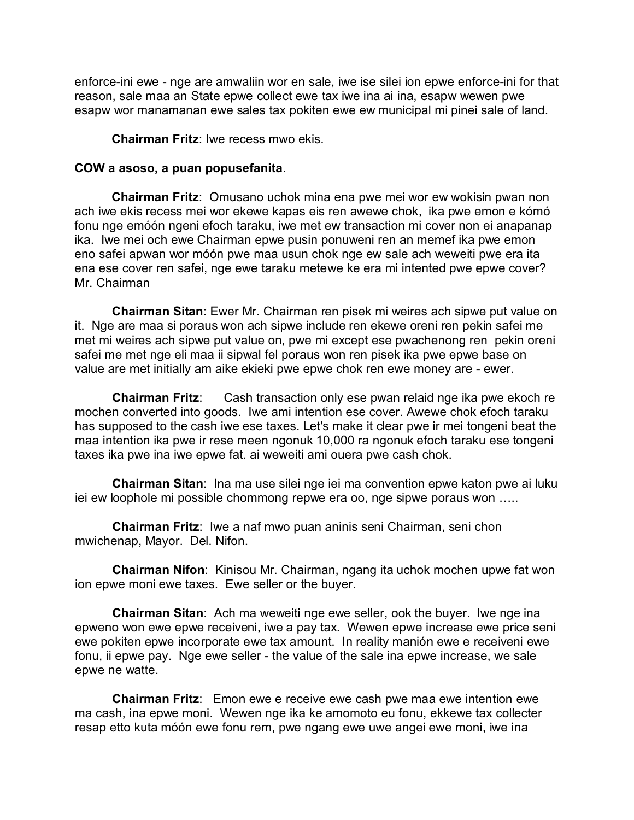enforce-ini ewe - nge are amwaliin wor en sale, iwe ise silei ion epwe enforce-ini for that reason, sale maa an State epwe collect ewe tax iwe ina ai ina, esapw wewen pwe esapw wor manamanan ewe sales tax pokiten ewe ew municipal mi pinei sale of land.

## **Chairman Fritz**: Iwe recess mwo ekis.

## **COW a asoso, a puan popusefanita**.

**Chairman Fritz**: Omusano uchok mina ena pwe mei wor ew wokisin pwan non ach iwe ekis recess mei wor ekewe kapas eis ren awewe chok, ika pwe emon e kómó fonu nge emóón ngeni efoch taraku, iwe met ew transaction mi cover non ei anapanap ika. Iwe mei och ewe Chairman epwe pusin ponuweni ren an memef ika pwe emon eno safei apwan wor móón pwe maa usun chok nge ew sale ach weweiti pwe era ita ena ese cover ren safei, nge ewe taraku metewe ke era mi intented pwe epwe cover? Mr. Chairman

**Chairman Sitan**: Ewer Mr. Chairman ren pisek mi weires ach sipwe put value on it. Nge are maa si poraus won ach sipwe include ren ekewe oreni ren pekin safei me met mi weires ach sipwe put value on, pwe mi except ese pwachenong ren pekin oreni safei me met nge eli maa ii sipwal fel poraus won ren pisek ika pwe epwe base on value are met initially am aike ekieki pwe epwe chok ren ewe money are - ewer.

**Chairman Fritz**: Cash transaction only ese pwan relaid nge ika pwe ekoch re mochen converted into goods. Iwe ami intention ese cover. Awewe chok efoch taraku has supposed to the cash iwe ese taxes. Let's make it clear pwe ir mei tongeni beat the maa intention ika pwe ir rese meen ngonuk 10,000 ra ngonuk efoch taraku ese tongeni taxes ika pwe ina iwe epwe fat. ai weweiti ami ouera pwe cash chok.

**Chairman Sitan**: Ina ma use silei nge iei ma convention epwe katon pwe ai luku iei ew loophole mi possible chommong repwe era oo, nge sipwe poraus won …..

**Chairman Fritz**: Iwe a naf mwo puan aninis seni Chairman, seni chon mwichenap, Mayor. Del. Nifon.

**Chairman Nifon**: Kinisou Mr. Chairman, ngang ita uchok mochen upwe fat won ion epwe moni ewe taxes. Ewe seller or the buyer.

**Chairman Sitan**: Ach ma weweiti nge ewe seller, ook the buyer. Iwe nge ina epweno won ewe epwe receiveni, iwe a pay tax. Wewen epwe increase ewe price seni ewe pokiten epwe incorporate ewe tax amount. In reality manión ewe e receiveni ewe fonu, ii epwe pay. Nge ewe seller - the value of the sale ina epwe increase, we sale epwe ne watte.

**Chairman Fritz**: Emon ewe e receive ewe cash pwe maa ewe intention ewe ma cash, ina epwe moni. Wewen nge ika ke amomoto eu fonu, ekkewe tax collecter resap etto kuta móón ewe fonu rem, pwe ngang ewe uwe angei ewe moni, iwe ina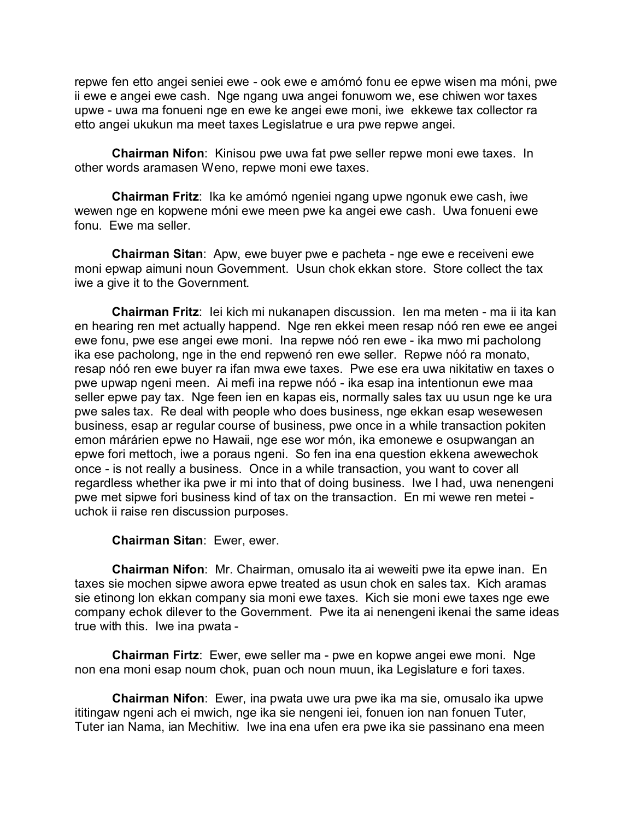repwe fen etto angei seniei ewe - ook ewe e amómó fonu ee epwe wisen ma móni, pwe ii ewe e angei ewe cash. Nge ngang uwa angei fonuwom we, ese chiwen wor taxes upwe - uwa ma fonueni nge en ewe ke angei ewe moni, iwe ekkewe tax collector ra etto angei ukukun ma meet taxes Legislatrue e ura pwe repwe angei.

**Chairman Nifon**: Kinisou pwe uwa fat pwe seller repwe moni ewe taxes. In other words aramasen Weno, repwe moni ewe taxes.

**Chairman Fritz**: Ika ke amómó ngeniei ngang upwe ngonuk ewe cash, iwe wewen nge en kopwene móni ewe meen pwe ka angei ewe cash. Uwa fonueni ewe fonu. Ewe ma seller.

**Chairman Sitan**: Apw, ewe buyer pwe e pacheta - nge ewe e receiveni ewe moni epwap aimuni noun Government. Usun chok ekkan store. Store collect the tax iwe a give it to the Government.

**Chairman Fritz**: Iei kich mi nukanapen discussion. Ien ma meten - ma ii ita kan en hearing ren met actually happend. Nge ren ekkei meen resap nóó ren ewe ee angei ewe fonu, pwe ese angei ewe moni. Ina repwe nóó ren ewe - ika mwo mi pacholong ika ese pacholong, nge in the end repwenó ren ewe seller. Repwe nóó ra monato, resap nóó ren ewe buyer ra ifan mwa ewe taxes. Pwe ese era uwa nikitatiw en taxes o pwe upwap ngeni meen. Ai mefi ina repwe nóó - ika esap ina intentionun ewe maa seller epwe pay tax. Nge feen ien en kapas eis, normally sales tax uu usun nge ke ura pwe sales tax. Re deal with people who does business, nge ekkan esap wesewesen business, esap ar regular course of business, pwe once in a while transaction pokiten emon márárien epwe no Hawaii, nge ese wor món, ika emonewe e osupwangan an epwe fori mettoch, iwe a poraus ngeni. So fen ina ena question ekkena awewechok once - is not really a business. Once in a while transaction, you want to cover all regardless whether ika pwe ir mi into that of doing business. Iwe I had, uwa nenengeni pwe met sipwe fori business kind of tax on the transaction. En mi wewe ren metei uchok ii raise ren discussion purposes.

# **Chairman Sitan**: Ewer, ewer.

**Chairman Nifon**: Mr. Chairman, omusalo ita ai weweiti pwe ita epwe inan. En taxes sie mochen sipwe awora epwe treated as usun chok en sales tax. Kich aramas sie etinong lon ekkan company sia moni ewe taxes. Kich sie moni ewe taxes nge ewe company echok dilever to the Government. Pwe ita ai nenengeni ikenai the same ideas true with this. Iwe ina pwata -

**Chairman Firtz**: Ewer, ewe seller ma - pwe en kopwe angei ewe moni. Nge non ena moni esap noum chok, puan och noun muun, ika Legislature e fori taxes.

**Chairman Nifon**: Ewer, ina pwata uwe ura pwe ika ma sie, omusalo ika upwe ititingaw ngeni ach ei mwich, nge ika sie nengeni iei, fonuen ion nan fonuen Tuter, Tuter ian Nama, ian Mechitiw. Iwe ina ena ufen era pwe ika sie passinano ena meen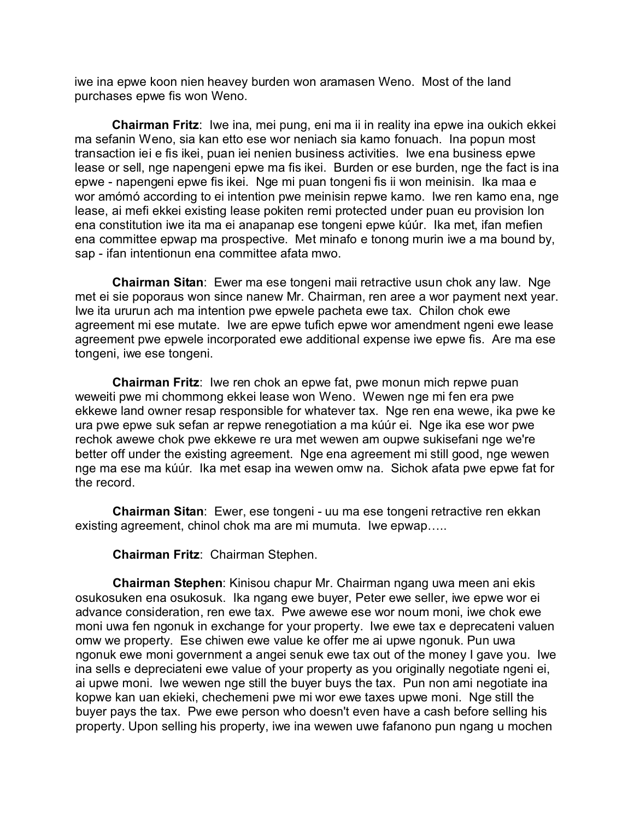iwe ina epwe koon nien heavey burden won aramasen Weno. Most of the land purchases epwe fis won Weno.

**Chairman Fritz**: Iwe ina, mei pung, eni ma ii in reality ina epwe ina oukich ekkei ma sefanin Weno, sia kan etto ese wor neniach sia kamo fonuach. Ina popun most transaction iei e fis ikei, puan iei nenien business activities. Iwe ena business epwe lease or sell, nge napengeni epwe ma fis ikei. Burden or ese burden, nge the fact is ina epwe - napengeni epwe fis ikei. Nge mi puan tongeni fis ii won meinisin. Ika maa e wor amómó according to ei intention pwe meinisin repwe kamo. Iwe ren kamo ena, nge lease, ai mefi ekkei existing lease pokiten remi protected under puan eu provision lon ena constitution iwe ita ma ei anapanap ese tongeni epwe kúúr. Ika met, ifan mefien ena committee epwap ma prospective. Met minafo e tonong murin iwe a ma bound by, sap - ifan intentionun ena committee afata mwo.

**Chairman Sitan**: Ewer ma ese tongeni maii retractive usun chok any law. Nge met ei sie poporaus won since nanew Mr. Chairman, ren aree a wor payment next year. Iwe ita ururun ach ma intention pwe epwele pacheta ewe tax. Chilon chok ewe agreement mi ese mutate. Iwe are epwe tufich epwe wor amendment ngeni ewe lease agreement pwe epwele incorporated ewe additional expense iwe epwe fis. Are ma ese tongeni, iwe ese tongeni.

**Chairman Fritz**: Iwe ren chok an epwe fat, pwe monun mich repwe puan weweiti pwe mi chommong ekkei lease won Weno. Wewen nge mi fen era pwe ekkewe land owner resap responsible for whatever tax. Nge ren ena wewe, ika pwe ke ura pwe epwe suk sefan ar repwe renegotiation a ma kúúr ei. Nge ika ese wor pwe rechok awewe chok pwe ekkewe re ura met wewen am oupwe sukisefani nge we're better off under the existing agreement. Nge ena agreement mi still good, nge wewen nge ma ese ma kúúr. Ika met esap ina wewen omw na. Sichok afata pwe epwe fat for the record.

**Chairman Sitan**: Ewer, ese tongeni - uu ma ese tongeni retractive ren ekkan existing agreement, chinol chok ma are mi mumuta. Iwe epwap…..

**Chairman Fritz**: Chairman Stephen.

**Chairman Stephen**: Kinisou chapur Mr. Chairman ngang uwa meen ani ekis osukosuken ena osukosuk. Ika ngang ewe buyer, Peter ewe seller, iwe epwe wor ei advance consideration, ren ewe tax. Pwe awewe ese wor noum moni, iwe chok ewe moni uwa fen ngonuk in exchange for your property. Iwe ewe tax e deprecateni valuen omw we property. Ese chiwen ewe value ke offer me ai upwe ngonuk. Pun uwa ngonuk ewe moni government a angei senuk ewe tax out of the money I gave you. Iwe ina sells e depreciateni ewe value of your property as you originally negotiate ngeni ei, ai upwe moni. Iwe wewen nge still the buyer buys the tax. Pun non ami negotiate ina kopwe kan uan ekieki, chechemeni pwe mi wor ewe taxes upwe moni. Nge still the buyer pays the tax. Pwe ewe person who doesn't even have a cash before selling his property. Upon selling his property, iwe ina wewen uwe fafanono pun ngang u mochen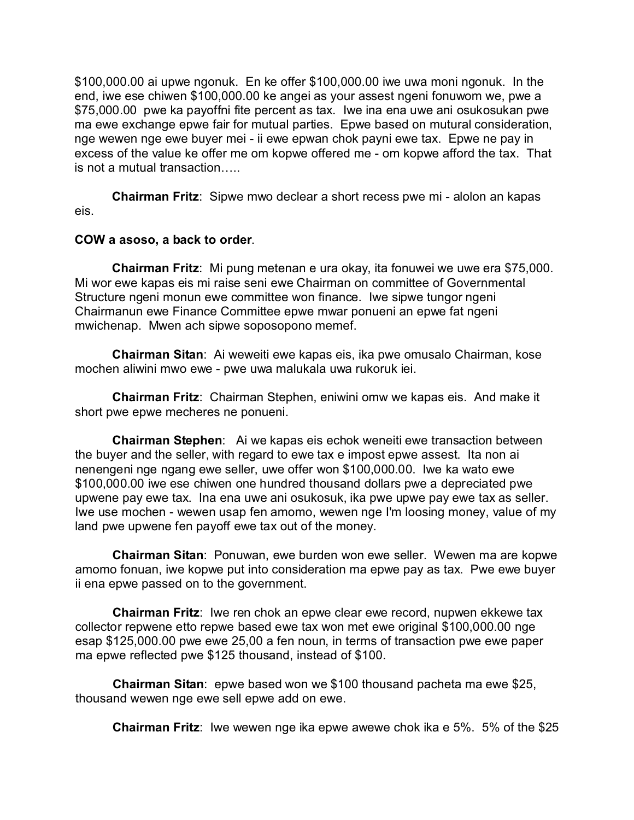\$100,000.00 ai upwe ngonuk. En ke offer \$100,000.00 iwe uwa moni ngonuk. In the end, iwe ese chiwen \$100,000.00 ke angei as your assest ngeni fonuwom we, pwe a \$75,000.00 pwe ka payoffni fite percent as tax. Iwe ina ena uwe ani osukosukan pwe ma ewe exchange epwe fair for mutual parties. Epwe based on mutural consideration, nge wewen nge ewe buyer mei - ii ewe epwan chok payni ewe tax. Epwe ne pay in excess of the value ke offer me om kopwe offered me - om kopwe afford the tax. That is not a mutual transaction…..

**Chairman Fritz**: Sipwe mwo declear a short recess pwe mi - alolon an kapas eis.

## **COW a asoso, a back to order**.

**Chairman Fritz**: Mi pung metenan e ura okay, ita fonuwei we uwe era \$75,000. Mi wor ewe kapas eis mi raise seni ewe Chairman on committee of Governmental Structure ngeni monun ewe committee won finance. Iwe sipwe tungor ngeni Chairmanun ewe Finance Committee epwe mwar ponueni an epwe fat ngeni mwichenap. Mwen ach sipwe soposopono memef.

**Chairman Sitan**: Ai weweiti ewe kapas eis, ika pwe omusalo Chairman, kose mochen aliwini mwo ewe - pwe uwa malukala uwa rukoruk iei.

**Chairman Fritz**: Chairman Stephen, eniwini omw we kapas eis. And make it short pwe epwe mecheres ne ponueni.

**Chairman Stephen**: Ai we kapas eis echok weneiti ewe transaction between the buyer and the seller, with regard to ewe tax e impost epwe assest. Ita non ai nenengeni nge ngang ewe seller, uwe offer won \$100,000.00. Iwe ka wato ewe \$100,000.00 iwe ese chiwen one hundred thousand dollars pwe a depreciated pwe upwene pay ewe tax. Ina ena uwe ani osukosuk, ika pwe upwe pay ewe tax as seller. Iwe use mochen - wewen usap fen amomo, wewen nge I'm loosing money, value of my land pwe upwene fen payoff ewe tax out of the money.

**Chairman Sitan**: Ponuwan, ewe burden won ewe seller. Wewen ma are kopwe amomo fonuan, iwe kopwe put into consideration ma epwe pay as tax. Pwe ewe buyer ii ena epwe passed on to the government.

**Chairman Fritz**: Iwe ren chok an epwe clear ewe record, nupwen ekkewe tax collector repwene etto repwe based ewe tax won met ewe original \$100,000.00 nge esap \$125,000.00 pwe ewe 25,00 a fen noun, in terms of transaction pwe ewe paper ma epwe reflected pwe \$125 thousand, instead of \$100.

**Chairman Sitan**: epwe based won we \$100 thousand pacheta ma ewe \$25, thousand wewen nge ewe sell epwe add on ewe.

**Chairman Fritz**: Iwe wewen nge ika epwe awewe chok ika e 5%. 5% of the \$25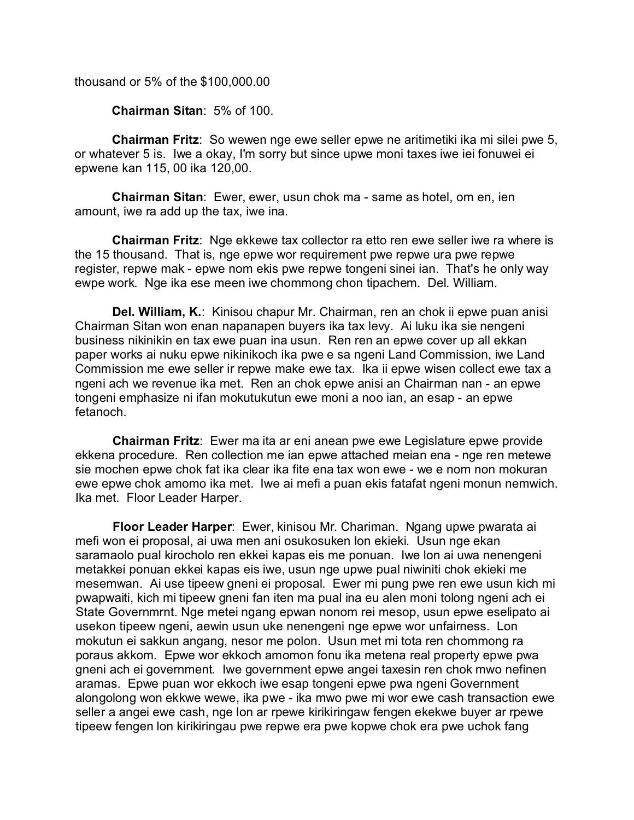thousand or 5% of the \$100,000.00

**Chairman Sitan**: 5% of 100.

**Chairman Fritz**: So wewen nge ewe seller epwe ne aritimetiki ika mi silei pwe 5, or whatever 5 is. Iwe a okay, I'm sorry but since upwe moni taxes iwe iei fonuwei ei epwene kan 115, 00 ika 120,00.

**Chairman Sitan**: Ewer, ewer, usun chok ma - same as hotel, om en, ien amount, iwe ra add up the tax, iwe ina.

**Chairman Fritz**: Nge ekkewe tax collector ra etto ren ewe seller iwe ra where is the 15 thousand. That is, nge epwe wor requirement pwe repwe ura pwe repwe register, repwe mak - epwe nom ekis pwe repwe tongeni sinei ian. That's he only way ewpe work. Nge ika ese meen iwe chommong chon tipachem. Del. William.

**Del. William, K.**: Kinisou chapur Mr. Chairman, ren an chok ii epwe puan anisi Chairman Sitan won enan napanapen buyers ika tax levy. Ai luku ika sie nengeni business nikinikin en tax ewe puan ina usun. Ren ren an epwe cover up all ekkan paper works ai nuku epwe nikinikoch ika pwe e sa ngeni Land Commission, iwe Land Commission me ewe seller ir repwe make ewe tax. Ika ii epwe wisen collect ewe tax a ngeni ach we revenue ika met. Ren an chok epwe anisi an Chairman nan - an epwe tongeni emphasize ni ifan mokutukutun ewe moni a noo ian, an esap - an epwe fetanoch.

**Chairman Fritz**: Ewer ma ita ar eni anean pwe ewe Legislature epwe provide ekkena procedure. Ren collection me ian epwe attached meian ena - nge ren metewe sie mochen epwe chok fat ika clear ika fite ena tax won ewe - we e nom non mokuran ewe epwe chok amomo ika met. Iwe ai mefi a puan ekis fatafat ngeni monun nemwich. Ika met. Floor Leader Harper.

**Floor Leader Harper**: Ewer, kinisou Mr. Chariman. Ngang upwe pwarata ai mefi won ei proposal, ai uwa men ani osukosuken lon ekieki. Usun nge ekan saramaolo pual kirocholo ren ekkei kapas eis me ponuan. Iwe lon ai uwa nenengeni metakkei ponuan ekkei kapas eis iwe, usun nge upwe pual niwiniti chok ekieki me mesemwan. Ai use tipeew gneni ei proposal. Ewer mi pung pwe ren ewe usun kich mi pwapwaiti, kich mi tipeew gneni fan iten ma pual ina eu alen moni tolong ngeni ach ei State Governmrnt. Nge metei ngang epwan nonom rei mesop, usun epwe eselipato ai usekon tipeew ngeni, aewin usun uke nenengeni nge epwe wor unfairness. Lon mokutun ei sakkun angang, nesor me polon. Usun met mi tota ren chommong ra poraus akkom. Epwe wor ekkoch amomon fonu ika metena real property epwe pwa gneni ach ei government. Iwe government epwe angei taxesin ren chok mwo nefinen aramas. Epwe puan wor ekkoch iwe esap tongeni epwe pwa ngeni Government alongolong won ekkwe wewe, ika pwe - ika mwo pwe mi wor ewe cash transaction ewe seller a angei ewe cash, nge lon ar rpewe kirikiringaw fengen ekekwe buyer ar rpewe tipeew fengen lon kirikiringau pwe repwe era pwe kopwe chok era pwe uchok fang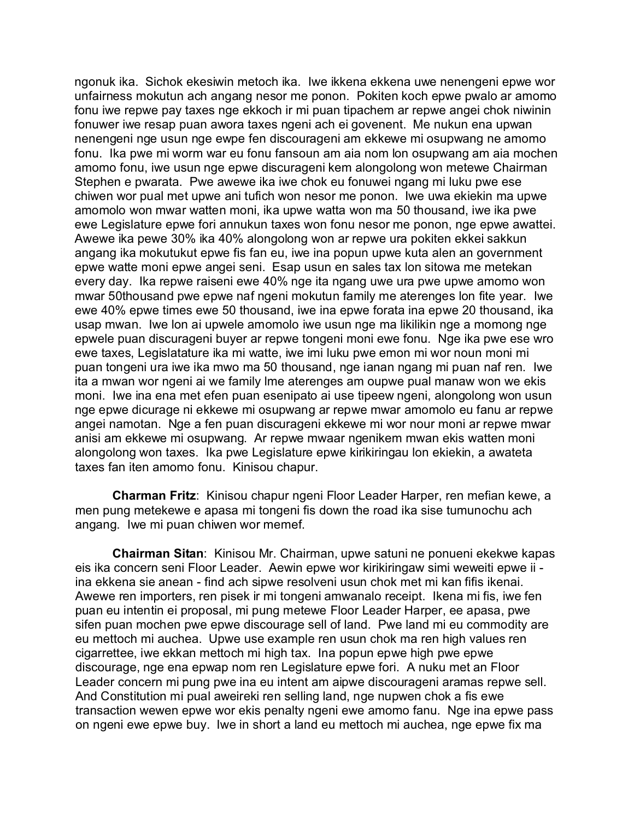ngonuk ika. Sichok ekesiwin metoch ika. Iwe ikkena ekkena uwe nenengeni epwe wor unfairness mokutun ach angang nesor me ponon. Pokiten koch epwe pwalo ar amomo fonu iwe repwe pay taxes nge ekkoch ir mi puan tipachem ar repwe angei chok niwinin fonuwer iwe resap puan awora taxes ngeni ach ei govenent. Me nukun ena upwan nenengeni nge usun nge ewpe fen discourageni am ekkewe mi osupwang ne amomo fonu. Ika pwe mi worm war eu fonu fansoun am aia nom lon osupwang am aia mochen amomo fonu, iwe usun nge epwe discurageni kem alongolong won metewe Chairman Stephen e pwarata. Pwe awewe ika iwe chok eu fonuwei ngang mi luku pwe ese chiwen wor pual met upwe ani tufich won nesor me ponon. Iwe uwa ekiekin ma upwe amomolo won mwar watten moni, ika upwe watta won ma 50 thousand, iwe ika pwe ewe Legislature epwe fori annukun taxes won fonu nesor me ponon, nge epwe awattei. Awewe ika pewe 30% ika 40% alongolong won ar repwe ura pokiten ekkei sakkun angang ika mokutukut epwe fis fan eu, iwe ina popun upwe kuta alen an government epwe watte moni epwe angei seni. Esap usun en sales tax lon sitowa me metekan every day. Ika repwe raiseni ewe 40% nge ita ngang uwe ura pwe upwe amomo won mwar 50thousand pwe epwe naf ngeni mokutun family me aterenges lon fite year. Iwe ewe 40% epwe times ewe 50 thousand, iwe ina epwe forata ina epwe 20 thousand, ika usap mwan. Iwe lon ai upwele amomolo iwe usun nge ma likilikin nge a momong nge epwele puan discurageni buyer ar repwe tongeni moni ewe fonu. Nge ika pwe ese wro ewe taxes, Legislatature ika mi watte, iwe imi luku pwe emon mi wor noun moni mi puan tongeni ura iwe ika mwo ma 50 thousand, nge ianan ngang mi puan naf ren. Iwe ita a mwan wor ngeni ai we family lme aterenges am oupwe pual manaw won we ekis moni. Iwe ina ena met efen puan esenipato ai use tipeew ngeni, alongolong won usun nge epwe dicurage ni ekkewe mi osupwang ar repwe mwar amomolo eu fanu ar repwe angei namotan. Nge a fen puan discurageni ekkewe mi wor nour moni ar repwe mwar anisi am ekkewe mi osupwang. Ar repwe mwaar ngenikem mwan ekis watten moni alongolong won taxes. Ika pwe Legislature epwe kirikiringau lon ekiekin, a awateta taxes fan iten amomo fonu. Kinisou chapur.

**Charman Fritz**: Kinisou chapur ngeni Floor Leader Harper, ren mefian kewe, a men pung metekewe e apasa mi tongeni fis down the road ika sise tumunochu ach angang. Iwe mi puan chiwen wor memef.

**Chairman Sitan**: Kinisou Mr. Chairman, upwe satuni ne ponueni ekekwe kapas eis ika concern seni Floor Leader. Aewin epwe wor kirikiringaw simi weweiti epwe ii ina ekkena sie anean - find ach sipwe resolveni usun chok met mi kan fifis ikenai. Awewe ren importers, ren pisek ir mi tongeni amwanalo receipt. Ikena mi fis, iwe fen puan eu intentin ei proposal, mi pung metewe Floor Leader Harper, ee apasa, pwe sifen puan mochen pwe epwe discourage sell of land. Pwe land mi eu commodity are eu mettoch mi auchea. Upwe use example ren usun chok ma ren high values ren cigarrettee, iwe ekkan mettoch mi high tax. Ina popun epwe high pwe epwe discourage, nge ena epwap nom ren Legislature epwe fori. A nuku met an Floor Leader concern mi pung pwe ina eu intent am aipwe discourageni aramas repwe sell. And Constitution mi pual aweireki ren selling land, nge nupwen chok a fis ewe transaction wewen epwe wor ekis penalty ngeni ewe amomo fanu. Nge ina epwe pass on ngeni ewe epwe buy. Iwe in short a land eu mettoch mi auchea, nge epwe fix ma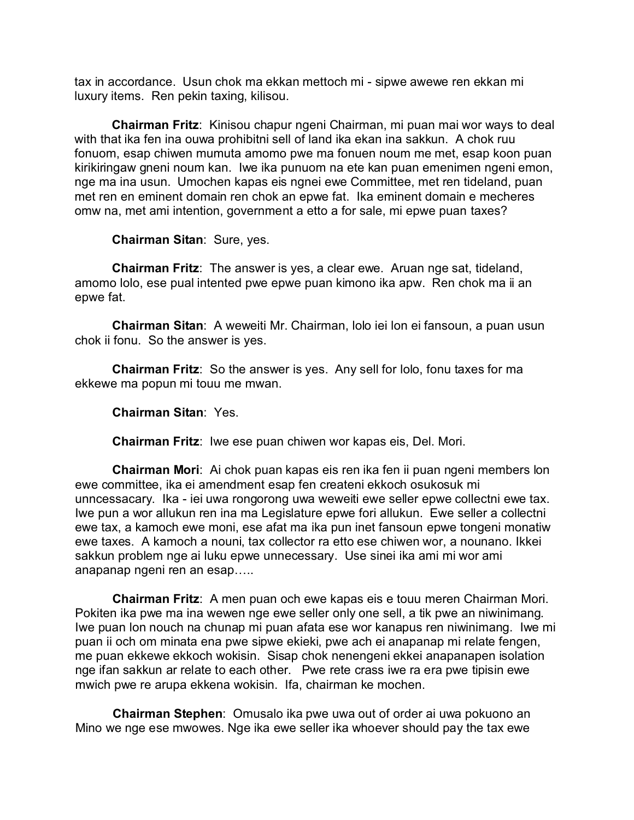tax in accordance. Usun chok ma ekkan mettoch mi - sipwe awewe ren ekkan mi luxury items. Ren pekin taxing, kilisou.

**Chairman Fritz**: Kinisou chapur ngeni Chairman, mi puan mai wor ways to deal with that ika fen ina ouwa prohibitni sell of land ika ekan ina sakkun. A chok ruu fonuom, esap chiwen mumuta amomo pwe ma fonuen noum me met, esap koon puan kirikiringaw gneni noum kan. Iwe ika punuom na ete kan puan emenimen ngeni emon, nge ma ina usun. Umochen kapas eis ngnei ewe Committee, met ren tideland, puan met ren en eminent domain ren chok an epwe fat. Ika eminent domain e mecheres omw na, met ami intention, government a etto a for sale, mi epwe puan taxes?

**Chairman Sitan**: Sure, yes.

**Chairman Fritz**: The answer is yes, a clear ewe. Aruan nge sat, tideland, amomo lolo, ese pual intented pwe epwe puan kimono ika apw. Ren chok ma ii an epwe fat.

**Chairman Sitan**: A weweiti Mr. Chairman, lolo iei lon ei fansoun, a puan usun chok ii fonu. So the answer is yes.

**Chairman Fritz**: So the answer is yes. Any sell for lolo, fonu taxes for ma ekkewe ma popun mi touu me mwan.

**Chairman Sitan**: Yes.

**Chairman Fritz**: Iwe ese puan chiwen wor kapas eis, Del. Mori.

**Chairman Mori**: Ai chok puan kapas eis ren ika fen ii puan ngeni members lon ewe committee, ika ei amendment esap fen createni ekkoch osukosuk mi unncessacary. Ika - iei uwa rongorong uwa weweiti ewe seller epwe collectni ewe tax. Iwe pun a wor allukun ren ina ma Legislature epwe fori allukun. Ewe seller a collectni ewe tax, a kamoch ewe moni, ese afat ma ika pun inet fansoun epwe tongeni monatiw ewe taxes. A kamoch a nouni, tax collector ra etto ese chiwen wor, a nounano. Ikkei sakkun problem nge ai luku epwe unnecessary. Use sinei ika ami mi wor ami anapanap ngeni ren an esap…..

**Chairman Fritz**: A men puan och ewe kapas eis e touu meren Chairman Mori. Pokiten ika pwe ma ina wewen nge ewe seller only one sell, a tik pwe an niwinimang. Iwe puan lon nouch na chunap mi puan afata ese wor kanapus ren niwinimang. Iwe mi puan ii och om minata ena pwe sipwe ekieki, pwe ach ei anapanap mi relate fengen, me puan ekkewe ekkoch wokisin. Sisap chok nenengeni ekkei anapanapen isolation nge ifan sakkun ar relate to each other. Pwe rete crass iwe ra era pwe tipisin ewe mwich pwe re arupa ekkena wokisin. Ifa, chairman ke mochen.

**Chairman Stephen**: Omusalo ika pwe uwa out of order ai uwa pokuono an Mino we nge ese mwowes. Nge ika ewe seller ika whoever should pay the tax ewe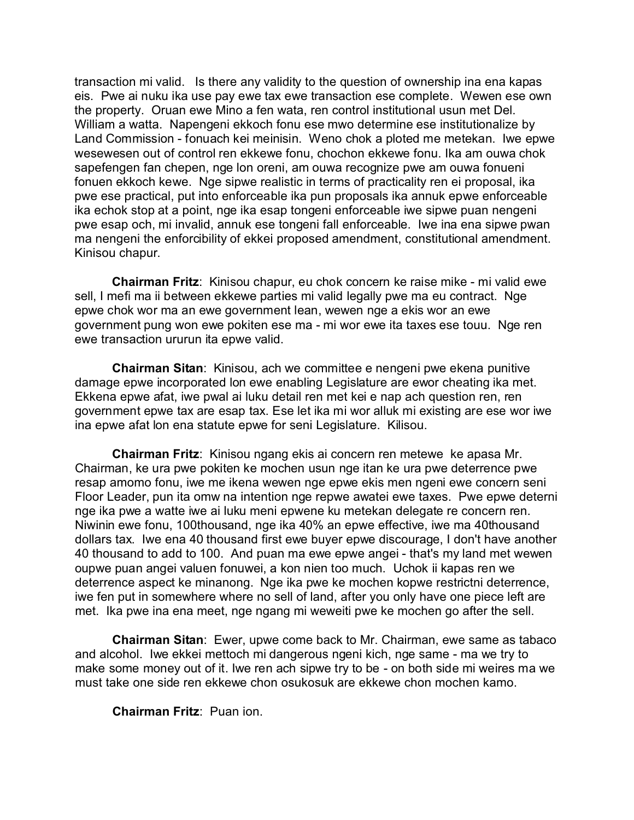transaction mi valid. Is there any validity to the question of ownership ina ena kapas eis. Pwe ai nuku ika use pay ewe tax ewe transaction ese complete. Wewen ese own the property. Oruan ewe Mino a fen wata, ren control institutional usun met Del. William a watta. Napengeni ekkoch fonu ese mwo determine ese institutionalize by Land Commission - fonuach kei meinisin. Weno chok a ploted me metekan. Iwe epwe wesewesen out of control ren ekkewe fonu, chochon ekkewe fonu. Ika am ouwa chok sapefengen fan chepen, nge lon oreni, am ouwa recognize pwe am ouwa fonueni fonuen ekkoch kewe. Nge sipwe realistic in terms of practicality ren ei proposal, ika pwe ese practical, put into enforceable ika pun proposals ika annuk epwe enforceable ika echok stop at a point, nge ika esap tongeni enforceable iwe sipwe puan nengeni pwe esap och, mi invalid, annuk ese tongeni fall enforceable. Iwe ina ena sipwe pwan ma nengeni the enforcibility of ekkei proposed amendment, constitutional amendment. Kinisou chapur.

**Chairman Fritz**: Kinisou chapur, eu chok concern ke raise mike - mi valid ewe sell, I mefi ma ii between ekkewe parties mi valid legally pwe ma eu contract. Nge epwe chok wor ma an ewe government lean, wewen nge a ekis wor an ewe government pung won ewe pokiten ese ma - mi wor ewe ita taxes ese touu. Nge ren ewe transaction ururun ita epwe valid.

**Chairman Sitan**: Kinisou, ach we committee e nengeni pwe ekena punitive damage epwe incorporated lon ewe enabling Legislature are ewor cheating ika met. Ekkena epwe afat, iwe pwal ai luku detail ren met kei e nap ach question ren, ren government epwe tax are esap tax. Ese let ika mi wor alluk mi existing are ese wor iwe ina epwe afat lon ena statute epwe for seni Legislature. Kilisou.

**Chairman Fritz**: Kinisou ngang ekis ai concern ren metewe ke apasa Mr. Chairman, ke ura pwe pokiten ke mochen usun nge itan ke ura pwe deterrence pwe resap amomo fonu, iwe me ikena wewen nge epwe ekis men ngeni ewe concern seni Floor Leader, pun ita omw na intention nge repwe awatei ewe taxes. Pwe epwe deterni nge ika pwe a watte iwe ai luku meni epwene ku metekan delegate re concern ren. Niwinin ewe fonu, 100thousand, nge ika 40% an epwe effective, iwe ma 40thousand dollars tax. Iwe ena 40 thousand first ewe buyer epwe discourage, I don't have another 40 thousand to add to 100. And puan ma ewe epwe angei - that's my land met wewen oupwe puan angei valuen fonuwei, a kon nien too much. Uchok ii kapas ren we deterrence aspect ke minanong. Nge ika pwe ke mochen kopwe restrictni deterrence, iwe fen put in somewhere where no sell of land, after you only have one piece left are met. Ika pwe ina ena meet, nge ngang mi weweiti pwe ke mochen go after the sell.

**Chairman Sitan**: Ewer, upwe come back to Mr. Chairman, ewe same as tabaco and alcohol. Iwe ekkei mettoch mi dangerous ngeni kich, nge same - ma we try to make some money out of it. Iwe ren ach sipwe try to be - on both side mi weires ma we must take one side ren ekkewe chon osukosuk are ekkewe chon mochen kamo.

**Chairman Fritz**: Puan ion.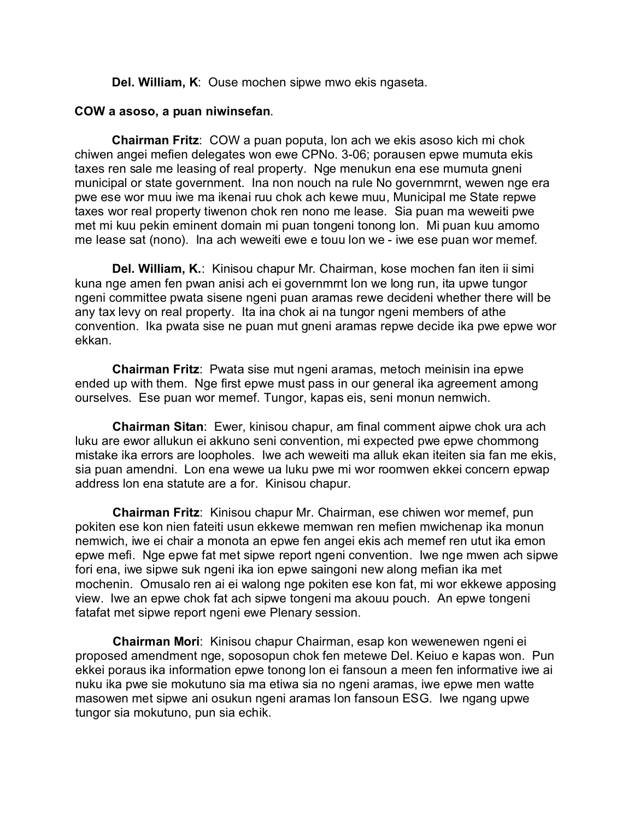**Del. William, K**: Ouse mochen sipwe mwo ekis ngaseta.

### **COW a asoso, a puan niwinsefan**.

**Chairman Fritz**: COW a puan poputa, lon ach we ekis asoso kich mi chok chiwen angei mefien delegates won ewe CPNo. 3-06; porausen epwe mumuta ekis taxes ren sale me leasing of real property. Nge menukun ena ese mumuta gneni municipal or state government. Ina non nouch na rule No governmrnt, wewen nge era pwe ese wor muu iwe ma ikenai ruu chok ach kewe muu, Municipal me State repwe taxes wor real property tiwenon chok ren nono me lease. Sia puan ma weweiti pwe met mi kuu pekin eminent domain mi puan tongeni tonong lon. Mi puan kuu amomo me lease sat (nono). Ina ach weweiti ewe e touu lon we - iwe ese puan wor memef.

**Del. William, K.**: Kinisou chapur Mr. Chairman, kose mochen fan iten ii simi kuna nge amen fen pwan anisi ach ei governmrnt lon we long run, ita upwe tungor ngeni committee pwata sisene ngeni puan aramas rewe decideni whether there will be any tax levy on real property. Ita ina chok ai na tungor ngeni members of athe convention. Ika pwata sise ne puan mut gneni aramas repwe decide ika pwe epwe wor ekkan.

**Chairman Fritz**: Pwata sise mut ngeni aramas, metoch meinisin ina epwe ended up with them. Nge first epwe must pass in our general ika agreement among ourselves. Ese puan wor memef. Tungor, kapas eis, seni monun nemwich.

**Chairman Sitan**: Ewer, kinisou chapur, am final comment aipwe chok ura ach luku are ewor allukun ei akkuno seni convention, mi expected pwe epwe chommong mistake ika errors are loopholes. Iwe ach weweiti ma alluk ekan iteiten sia fan me ekis, sia puan amendni. Lon ena wewe ua luku pwe mi wor roomwen ekkei concern epwap address lon ena statute are a for. Kinisou chapur.

**Chairman Fritz**: Kinisou chapur Mr. Chairman, ese chiwen wor memef, pun pokiten ese kon nien fateiti usun ekkewe memwan ren mefien mwichenap ika monun nemwich, iwe ei chair a monota an epwe fen angei ekis ach memef ren utut ika emon epwe mefi. Nge epwe fat met sipwe report ngeni convention. Iwe nge mwen ach sipwe fori ena, iwe sipwe suk ngeni ika ion epwe saingoni new along mefian ika met mochenin. Omusalo ren ai ei walong nge pokiten ese kon fat, mi wor ekkewe apposing view. Iwe an epwe chok fat ach sipwe tongeni ma akouu pouch. An epwe tongeni fatafat met sipwe report ngeni ewe Plenary session.

**Chairman Mori**: Kinisou chapur Chairman, esap kon wewenewen ngeni ei proposed amendment nge, soposopun chok fen metewe Del. Keiuo e kapas won. Pun ekkei poraus ika information epwe tonong lon ei fansoun a meen fen informative iwe ai nuku ika pwe sie mokutuno sia ma etiwa sia no ngeni aramas, iwe epwe men watte masowen met sipwe ani osukun ngeni aramas lon fansoun ESG. Iwe ngang upwe tungor sia mokutuno, pun sia echik.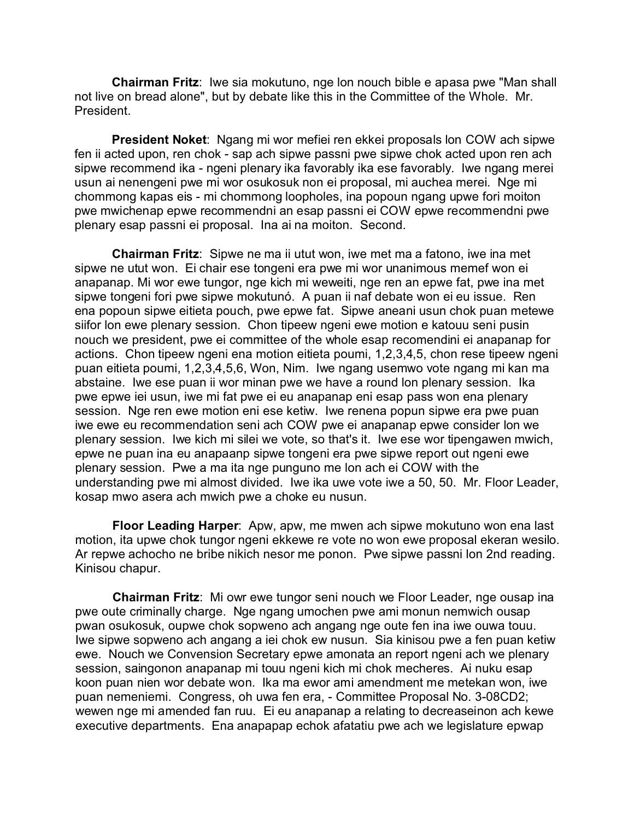**Chairman Fritz**: Iwe sia mokutuno, nge lon nouch bible e apasa pwe "Man shall not live on bread alone", but by debate like this in the Committee of the Whole. Mr. President.

**President Noket**: Ngang mi wor mefiei ren ekkei proposals lon COW ach sipwe fen ii acted upon, ren chok - sap ach sipwe passni pwe sipwe chok acted upon ren ach sipwe recommend ika - ngeni plenary ika favorably ika ese favorably. Iwe ngang merei usun ai nenengeni pwe mi wor osukosuk non ei proposal, mi auchea merei. Nge mi chommong kapas eis - mi chommong loopholes, ina popoun ngang upwe fori moiton pwe mwichenap epwe recommendni an esap passni ei COW epwe recommendni pwe plenary esap passni ei proposal. Ina ai na moiton. Second.

**Chairman Fritz**: Sipwe ne ma ii utut won, iwe met ma a fatono, iwe ina met sipwe ne utut won. Ei chair ese tongeni era pwe mi wor unanimous memef won ei anapanap. Mi wor ewe tungor, nge kich mi weweiti, nge ren an epwe fat, pwe ina met sipwe tongeni fori pwe sipwe mokutunó. A puan ii naf debate won ei eu issue. Ren ena popoun sipwe eitieta pouch, pwe epwe fat. Sipwe aneani usun chok puan metewe siifor lon ewe plenary session. Chon tipeew ngeni ewe motion e katouu seni pusin nouch we president, pwe ei committee of the whole esap recomendini ei anapanap for actions. Chon tipeew ngeni ena motion eitieta poumi, 1,2,3,4,5, chon rese tipeew ngeni puan eitieta poumi, 1,2,3,4,5,6, Won, Nim. Iwe ngang usemwo vote ngang mi kan ma abstaine. Iwe ese puan ii wor minan pwe we have a round lon plenary session. Ika pwe epwe iei usun, iwe mi fat pwe ei eu anapanap eni esap pass won ena plenary session. Nge ren ewe motion eni ese ketiw. Iwe renena popun sipwe era pwe puan iwe ewe eu recommendation seni ach COW pwe ei anapanap epwe consider lon we plenary session. Iwe kich mi silei we vote, so that's it. Iwe ese wor tipengawen mwich, epwe ne puan ina eu anapaanp sipwe tongeni era pwe sipwe report out ngeni ewe plenary session. Pwe a ma ita nge punguno me lon ach ei COW with the understanding pwe mi almost divided. Iwe ika uwe vote iwe a 50, 50. Mr. Floor Leader, kosap mwo asera ach mwich pwe a choke eu nusun.

**Floor Leading Harper**: Apw, apw, me mwen ach sipwe mokutuno won ena last motion, ita upwe chok tungor ngeni ekkewe re vote no won ewe proposal ekeran wesilo. Ar repwe achocho ne bribe nikich nesor me ponon. Pwe sipwe passni lon 2nd reading. Kinisou chapur.

**Chairman Fritz**: Mi owr ewe tungor seni nouch we Floor Leader, nge ousap ina pwe oute criminally charge. Nge ngang umochen pwe ami monun nemwich ousap pwan osukosuk, oupwe chok sopweno ach angang nge oute fen ina iwe ouwa touu. Iwe sipwe sopweno ach angang a iei chok ew nusun. Sia kinisou pwe a fen puan ketiw ewe. Nouch we Convension Secretary epwe amonata an report ngeni ach we plenary session, saingonon anapanap mi touu ngeni kich mi chok mecheres. Ai nuku esap koon puan nien wor debate won. Ika ma ewor ami amendment me metekan won, iwe puan nemeniemi. Congress, oh uwa fen era, - Committee Proposal No. 3-08CD2; wewen nge mi amended fan ruu. Ei eu anapanap a relating to decreaseinon ach kewe executive departments. Ena anapapap echok afatatiu pwe ach we legislature epwap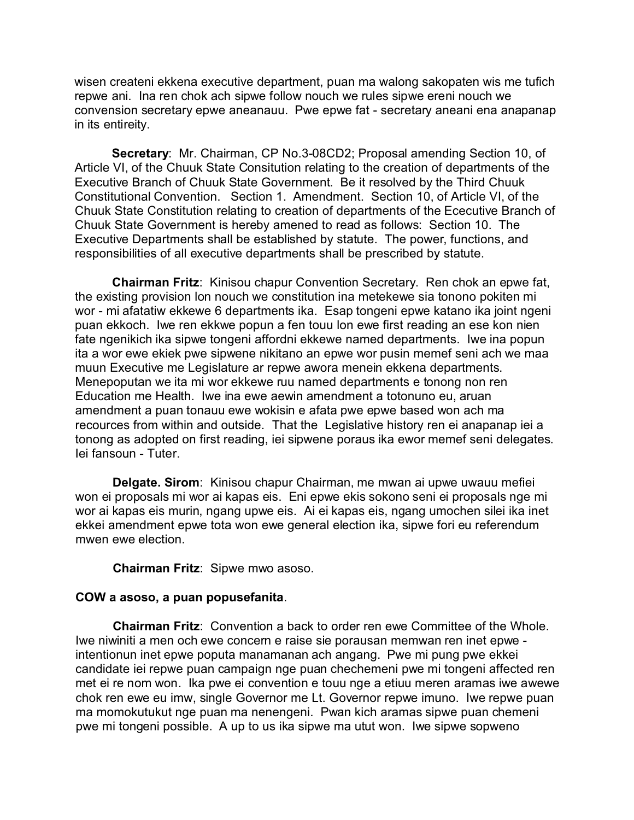wisen createni ekkena executive department, puan ma walong sakopaten wis me tufich repwe ani. Ina ren chok ach sipwe follow nouch we rules sipwe ereni nouch we convension secretary epwe aneanauu. Pwe epwe fat - secretary aneani ena anapanap in its entireity.

**Secretary**: Mr. Chairman, CP No.3-08CD2; Proposal amending Section 10, of Article VI, of the Chuuk State Consitution relating to the creation of departments of the Executive Branch of Chuuk State Government. Be it resolved by the Third Chuuk Constitutional Convention. Section 1. Amendment. Section 10, of Article VI, of the Chuuk State Constitution relating to creation of departments of the Ececutive Branch of Chuuk State Government is hereby amened to read as follows: Section 10. The Executive Departments shall be established by statute. The power, functions, and responsibilities of all executive departments shall be prescribed by statute.

**Chairman Fritz**: Kinisou chapur Convention Secretary. Ren chok an epwe fat, the existing provision lon nouch we constitution ina metekewe sia tonono pokiten mi wor - mi afatatiw ekkewe 6 departments ika. Esap tongeni epwe katano ika joint ngeni puan ekkoch. Iwe ren ekkwe popun a fen touu lon ewe first reading an ese kon nien fate ngenikich ika sipwe tongeni affordni ekkewe named departments. Iwe ina popun ita a wor ewe ekiek pwe sipwene nikitano an epwe wor pusin memef seni ach we maa muun Executive me Legislature ar repwe awora menein ekkena departments. Menepoputan we ita mi wor ekkewe ruu named departments e tonong non ren Education me Health. Iwe ina ewe aewin amendment a totonuno eu, aruan amendment a puan tonauu ewe wokisin e afata pwe epwe based won ach ma recources from within and outside. That the Legislative history ren ei anapanap iei a tonong as adopted on first reading, iei sipwene poraus ika ewor memef seni delegates. Iei fansoun - Tuter.

**Delgate. Sirom**: Kinisou chapur Chairman, me mwan ai upwe uwauu mefiei won ei proposals mi wor ai kapas eis. Eni epwe ekis sokono seni ei proposals nge mi wor ai kapas eis murin, ngang upwe eis. Ai ei kapas eis, ngang umochen silei ika inet ekkei amendment epwe tota won ewe general election ika, sipwe fori eu referendum mwen ewe election.

**Chairman Fritz**: Sipwe mwo asoso.

#### **COW a asoso, a puan popusefanita**.

**Chairman Fritz**: Convention a back to order ren ewe Committee of the Whole. Iwe niwiniti a men och ewe concern e raise sie porausan memwan ren inet epwe intentionun inet epwe poputa manamanan ach angang. Pwe mi pung pwe ekkei candidate iei repwe puan campaign nge puan chechemeni pwe mi tongeni affected ren met ei re nom won. Ika pwe ei convention e touu nge a etiuu meren aramas iwe awewe chok ren ewe eu imw, single Governor me Lt. Governor repwe imuno. Iwe repwe puan ma momokutukut nge puan ma nenengeni. Pwan kich aramas sipwe puan chemeni pwe mi tongeni possible. A up to us ika sipwe ma utut won. Iwe sipwe sopweno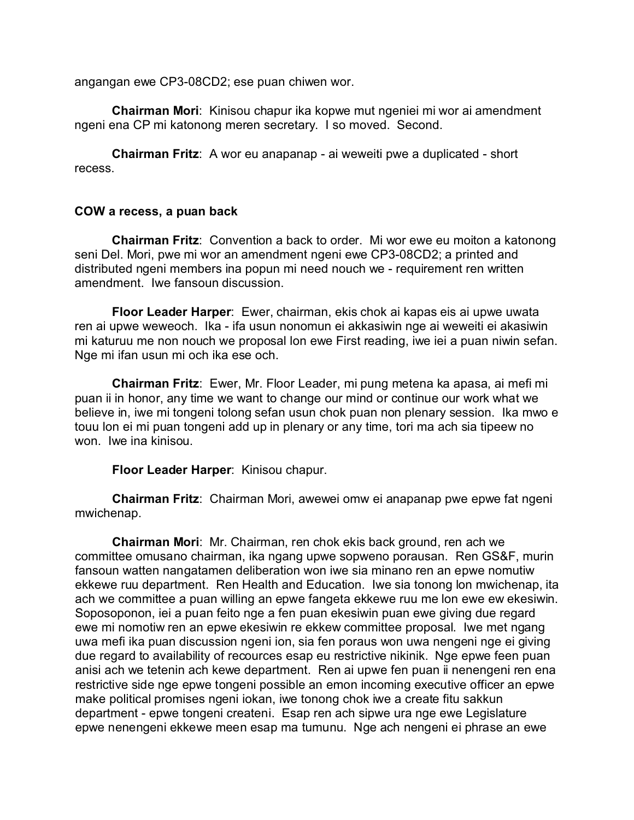angangan ewe CP3-08CD2; ese puan chiwen wor.

**Chairman Mori**: Kinisou chapur ika kopwe mut ngeniei mi wor ai amendment ngeni ena CP mi katonong meren secretary. I so moved. Second.

**Chairman Fritz**: A wor eu anapanap - ai weweiti pwe a duplicated - short recess.

#### **COW a recess, a puan back**

**Chairman Fritz**: Convention a back to order. Mi wor ewe eu moiton a katonong seni Del. Mori, pwe mi wor an amendment ngeni ewe CP3-08CD2; a printed and distributed ngeni members ina popun mi need nouch we - requirement ren written amendment. Iwe fansoun discussion.

**Floor Leader Harper**: Ewer, chairman, ekis chok ai kapas eis ai upwe uwata ren ai upwe weweoch. Ika - ifa usun nonomun ei akkasiwin nge ai weweiti ei akasiwin mi katuruu me non nouch we proposal lon ewe First reading, iwe iei a puan niwin sefan. Nge mi ifan usun mi och ika ese och.

**Chairman Fritz**: Ewer, Mr. Floor Leader, mi pung metena ka apasa, ai mefi mi puan ii in honor, any time we want to change our mind or continue our work what we believe in, iwe mi tongeni tolong sefan usun chok puan non plenary session. Ika mwo e touu lon ei mi puan tongeni add up in plenary or any time, tori ma ach sia tipeew no won. Iwe ina kinisou.

**Floor Leader Harper**: Kinisou chapur.

**Chairman Fritz**: Chairman Mori, awewei omw ei anapanap pwe epwe fat ngeni mwichenap.

**Chairman Mori**: Mr. Chairman, ren chok ekis back ground, ren ach we committee omusano chairman, ika ngang upwe sopweno porausan. Ren GS&F, murin fansoun watten nangatamen deliberation won iwe sia minano ren an epwe nomutiw ekkewe ruu department. Ren Health and Education. Iwe sia tonong lon mwichenap, ita ach we committee a puan willing an epwe fangeta ekkewe ruu me lon ewe ew ekesiwin. Soposoponon, iei a puan feito nge a fen puan ekesiwin puan ewe giving due regard ewe mi nomotiw ren an epwe ekesiwin re ekkew committee proposal. Iwe met ngang uwa mefi ika puan discussion ngeni ion, sia fen poraus won uwa nengeni nge ei giving due regard to availability of recources esap eu restrictive nikinik. Nge epwe feen puan anisi ach we tetenin ach kewe department. Ren ai upwe fen puan ii nenengeni ren ena restrictive side nge epwe tongeni possible an emon incoming executive officer an epwe make political promises ngeni iokan, iwe tonong chok iwe a create fitu sakkun department - epwe tongeni createni. Esap ren ach sipwe ura nge ewe Legislature epwe nenengeni ekkewe meen esap ma tumunu. Nge ach nengeni ei phrase an ewe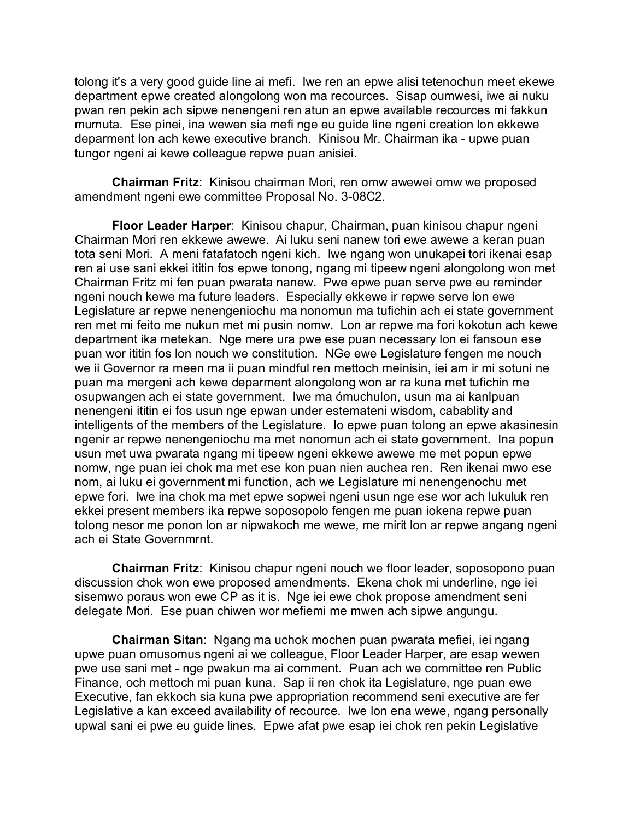tolong it's a very good guide line ai mefi. Iwe ren an epwe alisi tetenochun meet ekewe department epwe created alongolong won ma recources. Sisap oumwesi, iwe ai nuku pwan ren pekin ach sipwe nenengeni ren atun an epwe available recources mi fakkun mumuta. Ese pinei, ina wewen sia mefi nge eu guide line ngeni creation lon ekkewe deparment lon ach kewe executive branch. Kinisou Mr. Chairman ika - upwe puan tungor ngeni ai kewe colleague repwe puan anisiei.

**Chairman Fritz**: Kinisou chairman Mori, ren omw awewei omw we proposed amendment ngeni ewe committee Proposal No. 3-08C2.

**Floor Leader Harper**: Kinisou chapur, Chairman, puan kinisou chapur ngeni Chairman Mori ren ekkewe awewe. Ai luku seni nanew tori ewe awewe a keran puan tota seni Mori. A meni fatafatoch ngeni kich. Iwe ngang won unukapei tori ikenai esap ren ai use sani ekkei ititin fos epwe tonong, ngang mi tipeew ngeni alongolong won met Chairman Fritz mi fen puan pwarata nanew. Pwe epwe puan serve pwe eu reminder ngeni nouch kewe ma future leaders. Especially ekkewe ir repwe serve lon ewe Legislature ar repwe nenengeniochu ma nonomun ma tufichin ach ei state government ren met mi feito me nukun met mi pusin nomw. Lon ar repwe ma fori kokotun ach kewe department ika metekan. Nge mere ura pwe ese puan necessary lon ei fansoun ese puan wor ititin fos lon nouch we constitution. NGe ewe Legislature fengen me nouch we ii Governor ra meen ma ii puan mindful ren mettoch meinisin, iei am ir mi sotuni ne puan ma mergeni ach kewe deparment alongolong won ar ra kuna met tufichin me osupwangen ach ei state government. Iwe ma ómuchulon, usun ma ai kanlpuan nenengeni ititin ei fos usun nge epwan under estemateni wisdom, cabablity and intelligents of the members of the Legislature. Io epwe puan tolong an epwe akasinesin ngenir ar repwe nenengeniochu ma met nonomun ach ei state government. Ina popun usun met uwa pwarata ngang mi tipeew ngeni ekkewe awewe me met popun epwe nomw, nge puan iei chok ma met ese kon puan nien auchea ren. Ren ikenai mwo ese nom, ai luku ei government mi function, ach we Legislature mi nenengenochu met epwe fori. Iwe ina chok ma met epwe sopwei ngeni usun nge ese wor ach lukuluk ren ekkei present members ika repwe soposopolo fengen me puan iokena repwe puan tolong nesor me ponon lon ar nipwakoch me wewe, me mirit lon ar repwe angang ngeni ach ei State Governmrnt.

**Chairman Fritz**: Kinisou chapur ngeni nouch we floor leader, soposopono puan discussion chok won ewe proposed amendments. Ekena chok mi underline, nge iei sisemwo poraus won ewe CP as it is. Nge iei ewe chok propose amendment seni delegate Mori. Ese puan chiwen wor mefiemi me mwen ach sipwe angungu.

**Chairman Sitan**: Ngang ma uchok mochen puan pwarata mefiei, iei ngang upwe puan omusomus ngeni ai we colleague, Floor Leader Harper, are esap wewen pwe use sani met - nge pwakun ma ai comment. Puan ach we committee ren Public Finance, och mettoch mi puan kuna. Sap ii ren chok ita Legislature, nge puan ewe Executive, fan ekkoch sia kuna pwe appropriation recommend seni executive are fer Legislative a kan exceed availability of recource. Iwe lon ena wewe, ngang personally upwal sani ei pwe eu guide lines. Epwe afat pwe esap iei chok ren pekin Legislative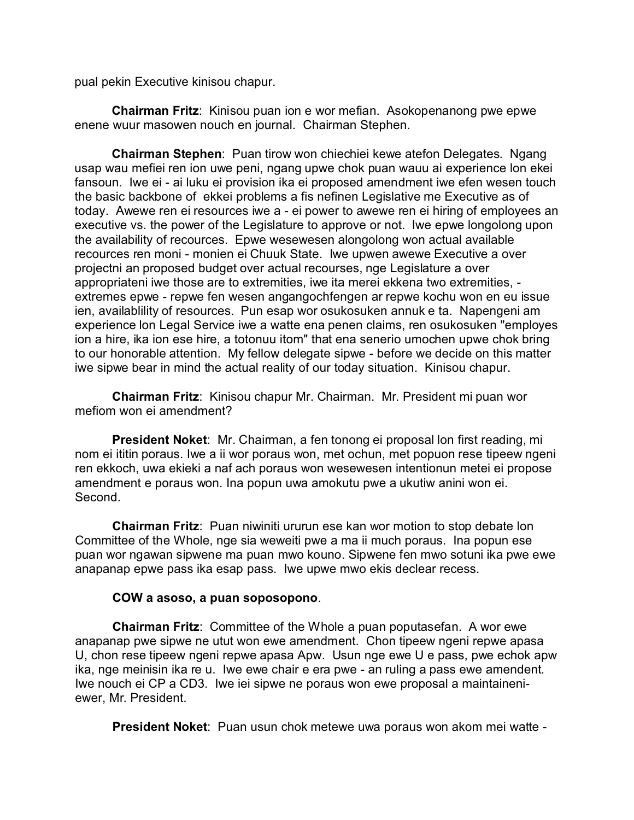pual pekin Executive kinisou chapur.

**Chairman Fritz**: Kinisou puan ion e wor mefian. Asokopenanong pwe epwe enene wuur masowen nouch en journal. Chairman Stephen.

**Chairman Stephen**: Puan tirow won chiechiei kewe atefon Delegates. Ngang usap wau mefiei ren ion uwe peni, ngang upwe chok puan wauu ai experience lon ekei fansoun. Iwe ei - ai luku ei provision ika ei proposed amendment iwe efen wesen touch the basic backbone of ekkei problems a fis nefinen Legislative me Executive as of today. Awewe ren ei resources iwe a - ei power to awewe ren ei hiring of employees an executive vs. the power of the Legislature to approve or not. Iwe epwe longolong upon the availability of recources. Epwe wesewesen alongolong won actual available recources ren moni - monien ei Chuuk State. Iwe upwen awewe Executive a over projectni an proposed budget over actual recourses, nge Legislature a over appropriateni iwe those are to extremities, iwe ita merei ekkena two extremities, extremes epwe - repwe fen wesen angangochfengen ar repwe kochu won en eu issue ien, availablility of resources. Pun esap wor osukosuken annuk e ta. Napengeni am experience lon Legal Service iwe a watte ena penen claims, ren osukosuken "employes ion a hire, ika ion ese hire, a totonuu itom" that ena senerio umochen upwe chok bring to our honorable attention. My fellow delegate sipwe - before we decide on this matter iwe sipwe bear in mind the actual reality of our today situation. Kinisou chapur.

**Chairman Fritz**: Kinisou chapur Mr. Chairman. Mr. President mi puan wor mefiom won ei amendment?

**President Noket**: Mr. Chairman, a fen tonong ei proposal lon first reading, mi nom ei ititin poraus. Iwe a ii wor poraus won, met ochun, met popuon rese tipeew ngeni ren ekkoch, uwa ekieki a naf ach poraus won wesewesen intentionun metei ei propose amendment e poraus won. Ina popun uwa amokutu pwe a ukutiw anini won ei. Second.

**Chairman Fritz**: Puan niwiniti ururun ese kan wor motion to stop debate lon Committee of the Whole, nge sia weweiti pwe a ma ii much poraus. Ina popun ese puan wor ngawan sipwene ma puan mwo kouno. Sipwene fen mwo sotuni ika pwe ewe anapanap epwe pass ika esap pass. Iwe upwe mwo ekis declear recess.

# **COW a asoso, a puan soposopono**.

**Chairman Fritz**: Committee of the Whole a puan poputasefan. A wor ewe anapanap pwe sipwe ne utut won ewe amendment. Chon tipeew ngeni repwe apasa U, chon rese tipeew ngeni repwe apasa Apw. Usun nge ewe U e pass, pwe echok apw ika, nge meinisin ika re u. Iwe ewe chair e era pwe - an ruling a pass ewe amendent. Iwe nouch ei CP a CD3. Iwe iei sipwe ne poraus won ewe proposal a maintaineniewer, Mr. President.

**President Noket**: Puan usun chok metewe uwa poraus won akom mei watte -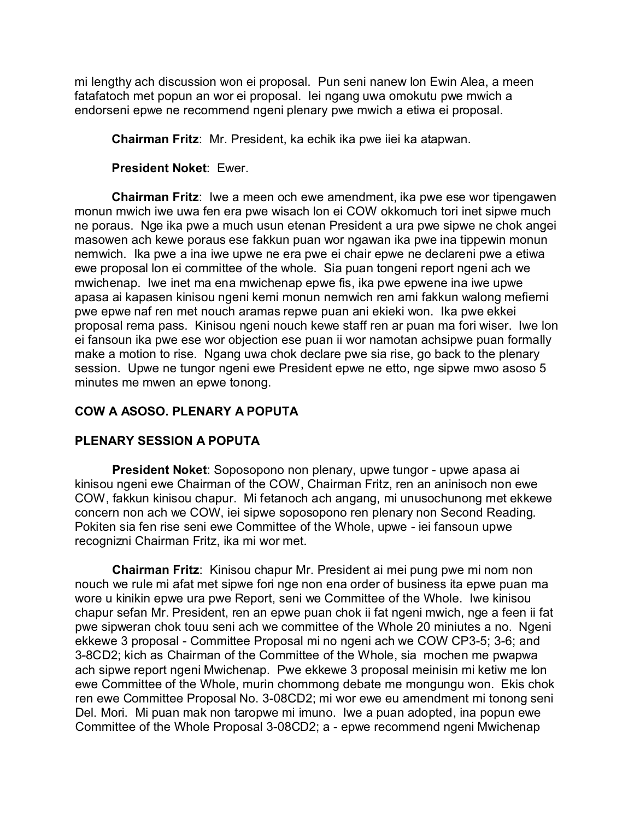mi lengthy ach discussion won ei proposal. Pun seni nanew lon Ewin Alea, a meen fatafatoch met popun an wor ei proposal. Iei ngang uwa omokutu pwe mwich a endorseni epwe ne recommend ngeni plenary pwe mwich a etiwa ei proposal.

**Chairman Fritz**: Mr. President, ka echik ika pwe iiei ka atapwan.

**President Noket**: Ewer.

**Chairman Fritz**: Iwe a meen och ewe amendment, ika pwe ese wor tipengawen monun mwich iwe uwa fen era pwe wisach lon ei COW okkomuch tori inet sipwe much ne poraus. Nge ika pwe a much usun etenan President a ura pwe sipwe ne chok angei masowen ach kewe poraus ese fakkun puan wor ngawan ika pwe ina tippewin monun nemwich. Ika pwe a ina iwe upwe ne era pwe ei chair epwe ne declareni pwe a etiwa ewe proposal lon ei committee of the whole. Sia puan tongeni report ngeni ach we mwichenap. Iwe inet ma ena mwichenap epwe fis, ika pwe epwene ina iwe upwe apasa ai kapasen kinisou ngeni kemi monun nemwich ren ami fakkun walong mefiemi pwe epwe naf ren met nouch aramas repwe puan ani ekieki won. Ika pwe ekkei proposal rema pass. Kinisou ngeni nouch kewe staff ren ar puan ma fori wiser. Iwe lon ei fansoun ika pwe ese wor objection ese puan ii wor namotan achsipwe puan formally make a motion to rise. Ngang uwa chok declare pwe sia rise, go back to the plenary session. Upwe ne tungor ngeni ewe President epwe ne etto, nge sipwe mwo asoso 5 minutes me mwen an epwe tonong.

# **COW A ASOSO. PLENARY A POPUTA**

# **PLENARY SESSION A POPUTA**

**President Noket**: Soposopono non plenary, upwe tungor - upwe apasa ai kinisou ngeni ewe Chairman of the COW, Chairman Fritz, ren an aninisoch non ewe COW, fakkun kinisou chapur. Mi fetanoch ach angang, mi unusochunong met ekkewe concern non ach we COW, iei sipwe soposopono ren plenary non Second Reading. Pokiten sia fen rise seni ewe Committee of the Whole, upwe - iei fansoun upwe recognizni Chairman Fritz, ika mi wor met.

**Chairman Fritz**: Kinisou chapur Mr. President ai mei pung pwe mi nom non nouch we rule mi afat met sipwe fori nge non ena order of business ita epwe puan ma wore u kinikin epwe ura pwe Report, seni we Committee of the Whole. Iwe kinisou chapur sefan Mr. President, ren an epwe puan chok ii fat ngeni mwich, nge a feen ii fat pwe sipweran chok touu seni ach we committee of the Whole 20 miniutes a no. Ngeni ekkewe 3 proposal - Committee Proposal mi no ngeni ach we COW CP3-5; 3-6; and 3-8CD2; kich as Chairman of the Committee of the Whole, sia mochen me pwapwa ach sipwe report ngeni Mwichenap. Pwe ekkewe 3 proposal meinisin mi ketiw me lon ewe Committee of the Whole, murin chommong debate me mongungu won. Ekis chok ren ewe Committee Proposal No. 3-08CD2; mi wor ewe eu amendment mi tonong seni Del. Mori. Mi puan mak non taropwe mi imuno. Iwe a puan adopted, ina popun ewe Committee of the Whole Proposal 3-08CD2; a - epwe recommend ngeni Mwichenap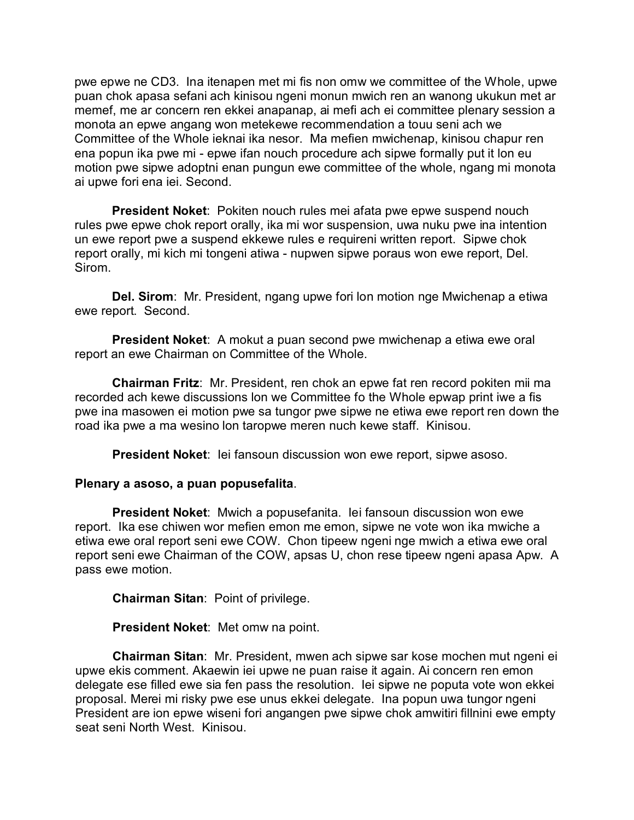pwe epwe ne CD3. Ina itenapen met mi fis non omw we committee of the Whole, upwe puan chok apasa sefani ach kinisou ngeni monun mwich ren an wanong ukukun met ar memef, me ar concern ren ekkei anapanap, ai mefi ach ei committee plenary session a monota an epwe angang won metekewe recommendation a touu seni ach we Committee of the Whole ieknai ika nesor. Ma mefien mwichenap, kinisou chapur ren ena popun ika pwe mi - epwe ifan nouch procedure ach sipwe formally put it lon eu motion pwe sipwe adoptni enan pungun ewe committee of the whole, ngang mi monota ai upwe fori ena iei. Second.

**President Noket**: Pokiten nouch rules mei afata pwe epwe suspend nouch rules pwe epwe chok report orally, ika mi wor suspension, uwa nuku pwe ina intention un ewe report pwe a suspend ekkewe rules e requireni written report. Sipwe chok report orally, mi kich mi tongeni atiwa - nupwen sipwe poraus won ewe report, Del. Sirom.

**Del. Sirom**: Mr. President, ngang upwe fori lon motion nge Mwichenap a etiwa ewe report. Second.

**President Noket**: A mokut a puan second pwe mwichenap a etiwa ewe oral report an ewe Chairman on Committee of the Whole.

**Chairman Fritz**: Mr. President, ren chok an epwe fat ren record pokiten mii ma recorded ach kewe discussions lon we Committee fo the Whole epwap print iwe a fis pwe ina masowen ei motion pwe sa tungor pwe sipwe ne etiwa ewe report ren down the road ika pwe a ma wesino lon taropwe meren nuch kewe staff. Kinisou.

**President Noket:** lei fansoun discussion won ewe report, sipwe asoso.

#### **Plenary a asoso, a puan popusefalita**.

**President Noket**: Mwich a popusefanita. Iei fansoun discussion won ewe report. Ika ese chiwen wor mefien emon me emon, sipwe ne vote won ika mwiche a etiwa ewe oral report seni ewe COW. Chon tipeew ngeni nge mwich a etiwa ewe oral report seni ewe Chairman of the COW, apsas U, chon rese tipeew ngeni apasa Apw. A pass ewe motion.

**Chairman Sitan**: Point of privilege.

**President Noket**: Met omw na point.

**Chairman Sitan**: Mr. President, mwen ach sipwe sar kose mochen mut ngeni ei upwe ekis comment. Akaewin iei upwe ne puan raise it again. Ai concern ren emon delegate ese filled ewe sia fen pass the resolution. Iei sipwe ne poputa vote won ekkei proposal. Merei mi risky pwe ese unus ekkei delegate. Ina popun uwa tungor ngeni President are ion epwe wiseni fori angangen pwe sipwe chok amwitiri fillnini ewe empty seat seni North West. Kinisou.